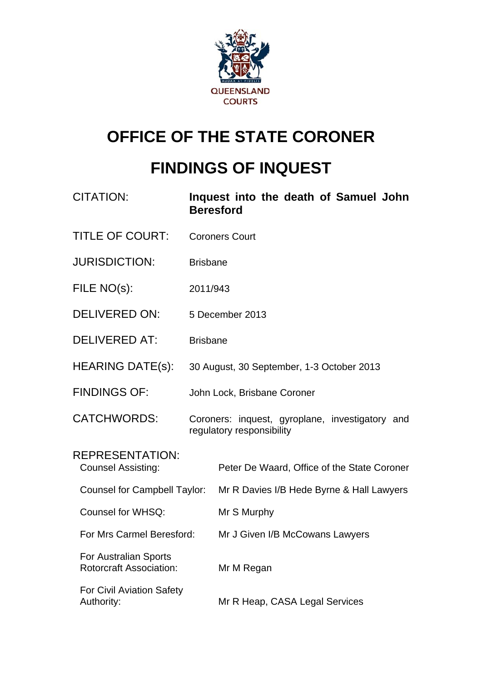

# **OFFICE OF THE STATE CORONER**

# **FINDINGS OF INQUEST**

| <b>CITATION:</b>                                        |                 | Inquest into the death of Samuel John<br><b>Beresford</b>                    |  |  |
|---------------------------------------------------------|-----------------|------------------------------------------------------------------------------|--|--|
| <b>TITLE OF COURT:</b>                                  |                 | <b>Coroners Court</b>                                                        |  |  |
| <b>JURISDICTION:</b>                                    | <b>Brisbane</b> |                                                                              |  |  |
| FILE NO(s):                                             | 2011/943        |                                                                              |  |  |
| <b>DELIVERED ON:</b>                                    |                 | 5 December 2013                                                              |  |  |
| <b>DELIVERED AT:</b>                                    | <b>Brisbane</b> |                                                                              |  |  |
| <b>HEARING DATE(s):</b>                                 |                 | 30 August, 30 September, 1-3 October 2013                                    |  |  |
| <b>FINDINGS OF:</b>                                     |                 | John Lock, Brisbane Coroner                                                  |  |  |
| <b>CATCHWORDS:</b>                                      |                 | Coroners: inquest, gyroplane, investigatory and<br>regulatory responsibility |  |  |
| <b>REPRESENTATION:</b><br><b>Counsel Assisting:</b>     |                 | Peter De Waard, Office of the State Coroner                                  |  |  |
| <b>Counsel for Campbell Taylor:</b>                     |                 | Mr R Davies I/B Hede Byrne & Hall Lawyers                                    |  |  |
| Counsel for WHSQ:                                       |                 | Mr S Murphy                                                                  |  |  |
| For Mrs Carmel Beresford:                               |                 | Mr J Given I/B McCowans Lawyers                                              |  |  |
| For Australian Sports<br><b>Rotorcraft Association:</b> |                 | Mr M Regan                                                                   |  |  |
| <b>For Civil Aviation Safety</b><br>Authority:          |                 | Mr R Heap, CASA Legal Services                                               |  |  |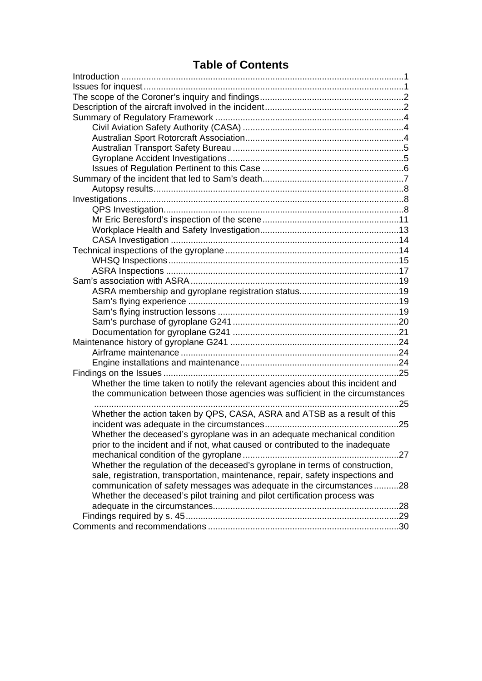# **Table of Contents**

| Whether the time taken to notify the relevant agencies about this incident and  |  |
|---------------------------------------------------------------------------------|--|
| the communication between those agencies was sufficient in the circumstances    |  |
|                                                                                 |  |
| Whether the action taken by QPS, CASA, ASRA and ATSB as a result of this        |  |
|                                                                                 |  |
| Whether the deceased's gyroplane was in an adequate mechanical condition        |  |
| prior to the incident and if not, what caused or contributed to the inadequate  |  |
|                                                                                 |  |
| Whether the regulation of the deceased's gyroplane in terms of construction,    |  |
| sale, registration, transportation, maintenance, repair, safety inspections and |  |
| communication of safety messages was adequate in the circumstances28            |  |
| Whether the deceased's pilot training and pilot certification process was       |  |
|                                                                                 |  |
|                                                                                 |  |
|                                                                                 |  |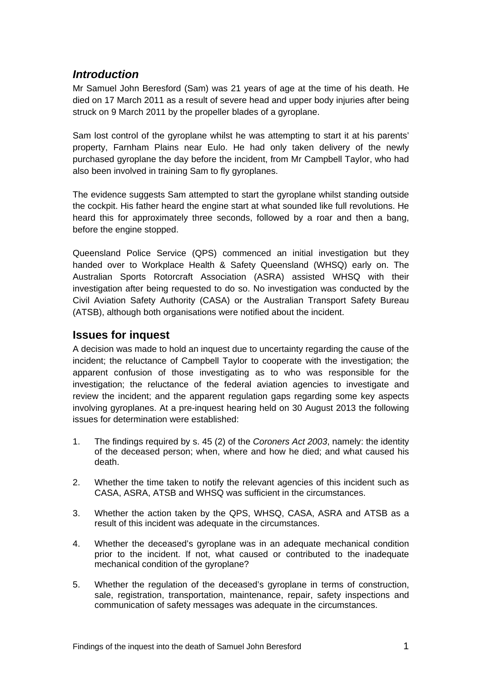# <span id="page-2-0"></span>*Introduction*

Mr Samuel John Beresford (Sam) was 21 years of age at the time of his death. He died on 17 March 2011 as a result of severe head and upper body injuries after being struck on 9 March 2011 by the propeller blades of a gyroplane.

Sam lost control of the gyroplane whilst he was attempting to start it at his parents' property, Farnham Plains near Eulo. He had only taken delivery of the newly purchased gyroplane the day before the incident, from Mr Campbell Taylor, who had also been involved in training Sam to fly gyroplanes.

The evidence suggests Sam attempted to start the gyroplane whilst standing outside the cockpit. His father heard the engine start at what sounded like full revolutions. He heard this for approximately three seconds, followed by a roar and then a bang, before the engine stopped.

Queensland Police Service (QPS) commenced an initial investigation but they handed over to Workplace Health & Safety Queensland (WHSQ) early on. The Australian Sports Rotorcraft Association (ASRA) assisted WHSQ with their investigation after being requested to do so. No investigation was conducted by the Civil Aviation Safety Authority (CASA) or the Australian Transport Safety Bureau (ATSB), although both organisations were notified about the incident.

# <span id="page-2-1"></span>**Issues for inquest**

A decision was made to hold an inquest due to uncertainty regarding the cause of the incident; the reluctance of Campbell Taylor to cooperate with the investigation; the apparent confusion of those investigating as to who was responsible for the investigation; the reluctance of the federal aviation agencies to investigate and review the incident; and the apparent regulation gaps regarding some key aspects involving gyroplanes. At a pre-inquest hearing held on 30 August 2013 the following issues for determination were established:

- 1. The findings required by s. 45 (2) of the *Coroners Act 2003*, namely: the identity of the deceased person; when, where and how he died; and what caused his death.
- 2. Whether the time taken to notify the relevant agencies of this incident such as CASA, ASRA, ATSB and WHSQ was sufficient in the circumstances.
- 3. Whether the action taken by the QPS, WHSQ, CASA, ASRA and ATSB as a result of this incident was adequate in the circumstances.
- 4. Whether the deceased's gyroplane was in an adequate mechanical condition prior to the incident. If not, what caused or contributed to the inadequate mechanical condition of the gyroplane?
- 5. Whether the regulation of the deceased's gyroplane in terms of construction, sale, registration, transportation, maintenance, repair, safety inspections and communication of safety messages was adequate in the circumstances.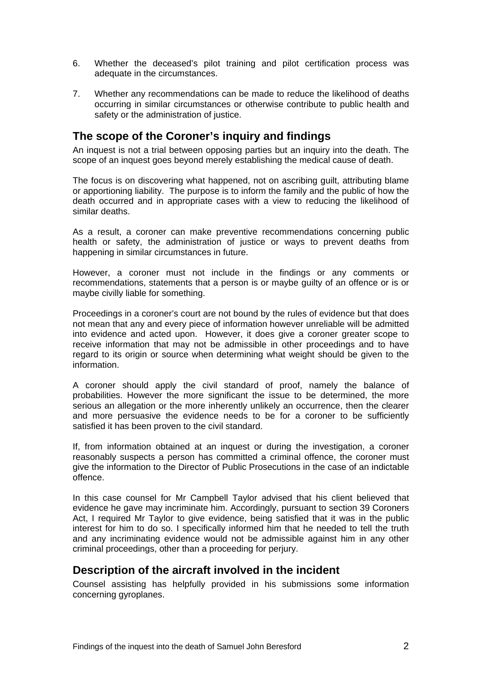- 6. Whether the deceased's pilot training and pilot certification process was adequate in the circumstances.
- 7. Whether any recommendations can be made to reduce the likelihood of deaths occurring in similar circumstances or otherwise contribute to public health and safety or the administration of justice.

# <span id="page-3-0"></span>**The scope of the Coroner's inquiry and findings**

An inquest is not a trial between opposing parties but an inquiry into the death. The scope of an inquest goes beyond merely establishing the medical cause of death.

The focus is on discovering what happened, not on ascribing guilt, attributing blame or apportioning liability. The purpose is to inform the family and the public of how the death occurred and in appropriate cases with a view to reducing the likelihood of similar deaths.

As a result, a coroner can make preventive recommendations concerning public health or safety, the administration of justice or ways to prevent deaths from happening in similar circumstances in future.

However, a coroner must not include in the findings or any comments or recommendations, statements that a person is or maybe guilty of an offence or is or maybe civilly liable for something.

Proceedings in a coroner's court are not bound by the rules of evidence but that does not mean that any and every piece of information however unreliable will be admitted into evidence and acted upon. However, it does give a coroner greater scope to receive information that may not be admissible in other proceedings and to have regard to its origin or source when determining what weight should be given to the information.

A coroner should apply the civil standard of proof, namely the balance of probabilities. However the more significant the issue to be determined, the more serious an allegation or the more inherently unlikely an occurrence, then the clearer and more persuasive the evidence needs to be for a coroner to be sufficiently satisfied it has been proven to the civil standard.

If, from information obtained at an inquest or during the investigation, a coroner reasonably suspects a person has committed a criminal offence, the coroner must give the information to the Director of Public Prosecutions in the case of an indictable offence.

In this case counsel for Mr Campbell Taylor advised that his client believed that evidence he gave may incriminate him. Accordingly, pursuant to section 39 Coroners Act, I required Mr Taylor to give evidence, being satisfied that it was in the public interest for him to do so. I specifically informed him that he needed to tell the truth and any incriminating evidence would not be admissible against him in any other criminal proceedings, other than a proceeding for perjury.

# <span id="page-3-1"></span>**Description of the aircraft involved in the incident**

Counsel assisting has helpfully provided in his submissions some information concerning gyroplanes.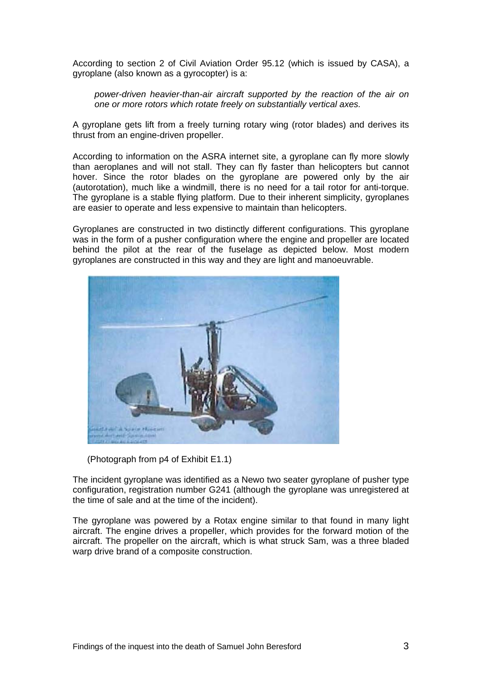According to section 2 of Civil Aviation Order 95.12 (which is issued by CASA), a gyroplane (also known as a gyrocopter) is a:

*power-driven heavier-than-air aircraft supported by the reaction of the air on one or more rotors which rotate freely on substantially vertical axes.* 

A gyroplane gets lift from a freely turning rotary wing (rotor blades) and derives its thrust from an engine-driven propeller.

According to information on the ASRA internet site, a gyroplane can fly more slowly than aeroplanes and will not stall. They can fly faster than helicopters but cannot hover. Since the rotor blades on the gyroplane are powered only by the air (autorotation), much like a windmill, there is no need for a tail rotor for anti-torque. The gyroplane is a stable flying platform. Due to their inherent simplicity, gyroplanes are easier to operate and less expensive to maintain than helicopters.

Gyroplanes are constructed in two distinctly different configurations. This gyroplane was in the form of a pusher configuration where the engine and propeller are located behind the pilot at the rear of the fuselage as depicted below. Most modern gyroplanes are constructed in this way and they are light and manoeuvrable.



(Photograph from p4 of Exhibit E1.1)

The incident gyroplane was identified as a Newo two seater gyroplane of pusher type configuration, registration number G241 (although the gyroplane was unregistered at the time of sale and at the time of the incident).

The gyroplane was powered by a Rotax engine similar to that found in many light aircraft. The engine drives a propeller, which provides for the forward motion of the aircraft. The propeller on the aircraft, which is what struck Sam, was a three bladed warp drive brand of a composite construction.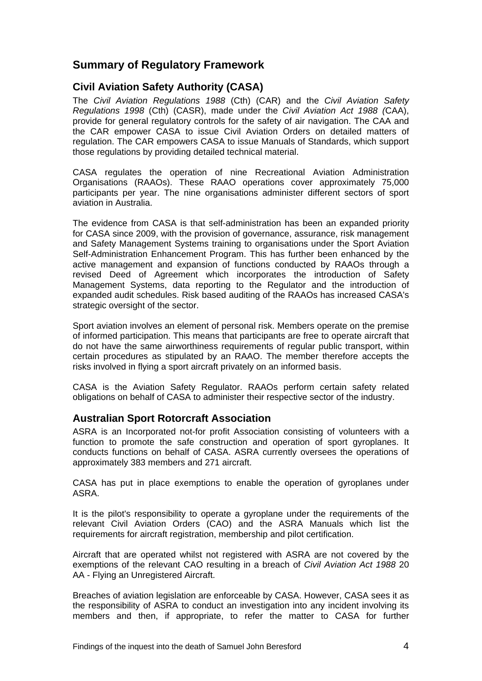# <span id="page-5-0"></span>**Summary of Regulatory Framework**

# <span id="page-5-1"></span>**Civil Aviation Safety Authority (CASA)**

The *Civil Aviation Regulations 1988* (Cth) (CAR) and the *Civil Aviation Safety Regulations 1998* (Cth) (CASR), made under the *Civil Aviation Act 1988 (*CAA), provide for general regulatory controls for the safety of air navigation. The CAA and the CAR empower CASA to issue Civil Aviation Orders on detailed matters of regulation. The CAR empowers CASA to issue Manuals of Standards, which support those regulations by providing detailed technical material.

CASA regulates the operation of nine Recreational Aviation Administration Organisations (RAAOs). These RAAO operations cover approximately 75,000 participants per year. The nine organisations administer different sectors of sport aviation in Australia.

The evidence from CASA is that self-administration has been an expanded priority for CASA since 2009, with the provision of governance, assurance, risk management and Safety Management Systems training to organisations under the Sport Aviation Self-Administration Enhancement Program. This has further been enhanced by the active management and expansion of functions conducted by RAAOs through a revised Deed of Agreement which incorporates the introduction of Safety Management Systems, data reporting to the Regulator and the introduction of expanded audit schedules. Risk based auditing of the RAAOs has increased CASA's strategic oversight of the sector.

Sport aviation involves an element of personal risk. Members operate on the premise of informed participation. This means that participants are free to operate aircraft that do not have the same airworthiness requirements of regular public transport, within certain procedures as stipulated by an RAAO. The member therefore accepts the risks involved in flying a sport aircraft privately on an informed basis.

CASA is the Aviation Safety Regulator. RAAOs perform certain safety related obligations on behalf of CASA to administer their respective sector of the industry.

# <span id="page-5-2"></span>**Australian Sport Rotorcraft Association**

ASRA is an Incorporated not-for profit Association consisting of volunteers with a function to promote the safe construction and operation of sport gyroplanes. It conducts functions on behalf of CASA. ASRA currently oversees the operations of approximately 383 members and 271 aircraft.

CASA has put in place exemptions to enable the operation of gyroplanes under ASRA.

It is the pilot's responsibility to operate a gyroplane under the requirements of the relevant Civil Aviation Orders (CAO) and the ASRA Manuals which list the requirements for aircraft registration, membership and pilot certification.

Aircraft that are operated whilst not registered with ASRA are not covered by the exemptions of the relevant CAO resulting in a breach of *Civil Aviation Act 1988* 20 AA - Flying an Unregistered Aircraft.

Breaches of aviation legislation are enforceable by CASA. However, CASA sees it as the responsibility of ASRA to conduct an investigation into any incident involving its members and then, if appropriate, to refer the matter to CASA for further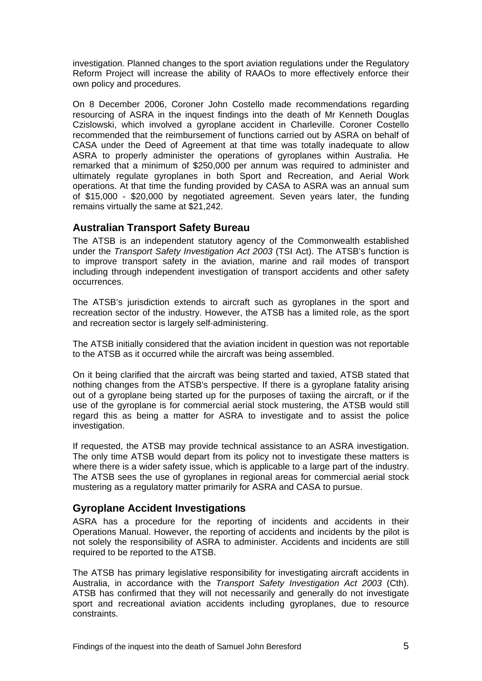investigation. Planned changes to the sport aviation regulations under the Regulatory Reform Project will increase the ability of RAAOs to more effectively enforce their own policy and procedures.

On 8 December 2006, Coroner John Costello made recommendations regarding resourcing of ASRA in the inquest findings into the death of Mr Kenneth Douglas Czislowski, which involved a gyroplane accident in Charleville. Coroner Costello recommended that the reimbursement of functions carried out by ASRA on behalf of CASA under the Deed of Agreement at that time was totally inadequate to allow ASRA to properly administer the operations of gyroplanes within Australia. He remarked that a minimum of \$250,000 per annum was required to administer and ultimately regulate gyroplanes in both Sport and Recreation, and Aerial Work operations. At that time the funding provided by CASA to ASRA was an annual sum of \$15,000 - \$20,000 by negotiated agreement. Seven years later, the funding remains virtually the same at \$21,242.

#### <span id="page-6-0"></span>**Australian Transport Safety Bureau**

The ATSB is an independent statutory agency of the Commonwealth established under the *Transport Safety Investigation Act 2003* (TSI Act). The ATSB's function is to improve transport safety in the aviation, marine and rail modes of transport including through independent investigation of transport accidents and other safety occurrences.

The ATSB's jurisdiction extends to aircraft such as gyroplanes in the sport and recreation sector of the industry. However, the ATSB has a limited role, as the sport and recreation sector is largely self‐administering.

The ATSB initially considered that the aviation incident in question was not reportable to the ATSB as it occurred while the aircraft was being assembled.

On it being clarified that the aircraft was being started and taxied, ATSB stated that nothing changes from the ATSB's perspective. If there is a gyroplane fatality arising out of a gyroplane being started up for the purposes of taxiing the aircraft, or if the use of the gyroplane is for commercial aerial stock mustering, the ATSB would still regard this as being a matter for ASRA to investigate and to assist the police investigation.

If requested, the ATSB may provide technical assistance to an ASRA investigation. The only time ATSB would depart from its policy not to investigate these matters is where there is a wider safety issue, which is applicable to a large part of the industry. The ATSB sees the use of gyroplanes in regional areas for commercial aerial stock mustering as a regulatory matter primarily for ASRA and CASA to pursue.

#### <span id="page-6-1"></span>**Gyroplane Accident Investigations**

ASRA has a procedure for the reporting of incidents and accidents in their Operations Manual. However, the reporting of accidents and incidents by the pilot is not solely the responsibility of ASRA to administer. Accidents and incidents are still required to be reported to the ATSB.

The ATSB has primary legislative responsibility for investigating aircraft accidents in Australia, in accordance with the *Transport Safety Investigation Act 2003* (Cth). ATSB has confirmed that they will not necessarily and generally do not investigate sport and recreational aviation accidents including gyroplanes, due to resource constraints.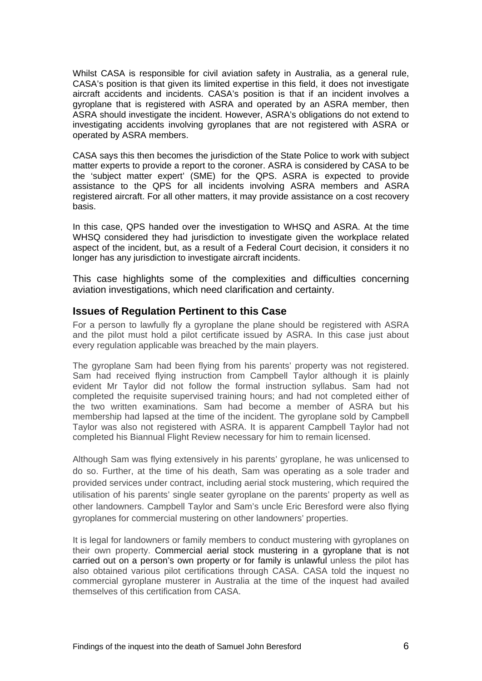Whilst CASA is responsible for civil aviation safety in Australia, as a general rule, CASA's position is that given its limited expertise in this field, it does not investigate aircraft accidents and incidents. CASA's position is that if an incident involves a gyroplane that is registered with ASRA and operated by an ASRA member, then ASRA should investigate the incident. However, ASRA's obligations do not extend to investigating accidents involving gyroplanes that are not registered with ASRA or operated by ASRA members.

CASA says this then becomes the jurisdiction of the State Police to work with subject matter experts to provide a report to the coroner. ASRA is considered by CASA to be the 'subject matter expert' (SME) for the QPS. ASRA is expected to provide assistance to the QPS for all incidents involving ASRA members and ASRA registered aircraft. For all other matters, it may provide assistance on a cost recovery basis.

In this case, QPS handed over the investigation to WHSQ and ASRA. At the time WHSQ considered they had jurisdiction to investigate given the workplace related aspect of the incident, but, as a result of a Federal Court decision, it considers it no longer has any jurisdiction to investigate aircraft incidents.

This case highlights some of the complexities and difficulties concerning aviation investigations, which need clarification and certainty.

#### <span id="page-7-0"></span>**Issues of Regulation Pertinent to this Case**

For a person to lawfully fly a gyroplane the plane should be registered with ASRA and the pilot must hold a pilot certificate issued by ASRA. In this case just about every regulation applicable was breached by the main players.

The gyroplane Sam had been flying from his parents' property was not registered. Sam had received flying instruction from Campbell Taylor although it is plainly evident Mr Taylor did not follow the formal instruction syllabus. Sam had not completed the requisite supervised training hours; and had not completed either of the two written examinations. Sam had become a member of ASRA but his membership had lapsed at the time of the incident. The gyroplane sold by Campbell Taylor was also not registered with ASRA. It is apparent Campbell Taylor had not completed his Biannual Flight Review necessary for him to remain licensed.

Although Sam was flying extensively in his parents' gyroplane, he was unlicensed to do so. Further, at the time of his death, Sam was operating as a sole trader and provided services under contract, including aerial stock mustering, which required the utilisation of his parents' single seater gyroplane on the parents' property as well as other landowners. Campbell Taylor and Sam's uncle Eric Beresford were also flying gyroplanes for commercial mustering on other landowners' properties.

It is legal for landowners or family members to conduct mustering with gyroplanes on their own property. Commercial aerial stock mustering in a gyroplane that is not carried out on a person's own property or for family is unlawful unless the pilot has also obtained various pilot certifications through CASA. CASA told the inquest no commercial gyroplane musterer in Australia at the time of the inquest had availed themselves of this certification from CASA.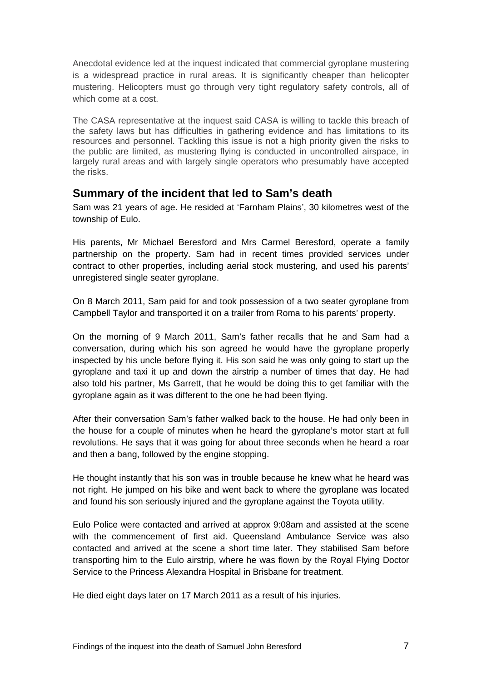Anecdotal evidence led at the inquest indicated that commercial gyroplane mustering is a widespread practice in rural areas. It is significantly cheaper than helicopter mustering. Helicopters must go through very tight regulatory safety controls, all of which come at a cost.

The CASA representative at the inquest said CASA is willing to tackle this breach of the safety laws but has difficulties in gathering evidence and has limitations to its resources and personnel. Tackling this issue is not a high priority given the risks to the public are limited, as mustering flying is conducted in uncontrolled airspace, in largely rural areas and with largely single operators who presumably have accepted the risks.

# <span id="page-8-0"></span>**Summary of the incident that led to Sam's death**

Sam was 21 years of age. He resided at 'Farnham Plains', 30 kilometres west of the township of Eulo.

His parents, Mr Michael Beresford and Mrs Carmel Beresford, operate a family partnership on the property. Sam had in recent times provided services under contract to other properties, including aerial stock mustering, and used his parents' unregistered single seater gyroplane.

On 8 March 2011, Sam paid for and took possession of a two seater gyroplane from Campbell Taylor and transported it on a trailer from Roma to his parents' property.

On the morning of 9 March 2011, Sam's father recalls that he and Sam had a conversation, during which his son agreed he would have the gyroplane properly inspected by his uncle before flying it. His son said he was only going to start up the gyroplane and taxi it up and down the airstrip a number of times that day. He had also told his partner, Ms Garrett, that he would be doing this to get familiar with the gyroplane again as it was different to the one he had been flying.

After their conversation Sam's father walked back to the house. He had only been in the house for a couple of minutes when he heard the gyroplane's motor start at full revolutions. He says that it was going for about three seconds when he heard a roar and then a bang, followed by the engine stopping.

He thought instantly that his son was in trouble because he knew what he heard was not right. He jumped on his bike and went back to where the gyroplane was located and found his son seriously injured and the gyroplane against the Toyota utility.

Eulo Police were contacted and arrived at approx 9:08am and assisted at the scene with the commencement of first aid. Queensland Ambulance Service was also contacted and arrived at the scene a short time later. They stabilised Sam before transporting him to the Eulo airstrip, where he was flown by the Royal Flying Doctor Service to the Princess Alexandra Hospital in Brisbane for treatment.

He died eight days later on 17 March 2011 as a result of his injuries.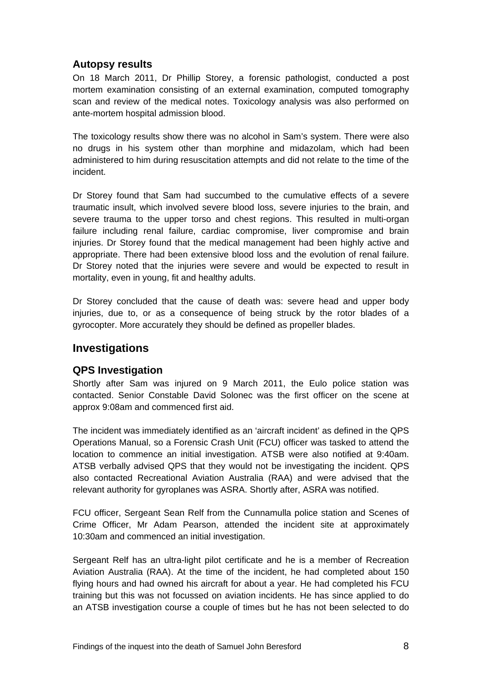# <span id="page-9-0"></span>**Autopsy results**

On 18 March 2011, Dr Phillip Storey, a forensic pathologist, conducted a post mortem examination consisting of an external examination, computed tomography scan and review of the medical notes. Toxicology analysis was also performed on ante-mortem hospital admission blood.

The toxicology results show there was no alcohol in Sam's system. There were also no drugs in his system other than morphine and midazolam, which had been administered to him during resuscitation attempts and did not relate to the time of the incident.

Dr Storey found that Sam had succumbed to the cumulative effects of a severe traumatic insult, which involved severe blood loss, severe injuries to the brain, and severe trauma to the upper torso and chest regions. This resulted in multi-organ failure including renal failure, cardiac compromise, liver compromise and brain injuries. Dr Storey found that the medical management had been highly active and appropriate. There had been extensive blood loss and the evolution of renal failure. Dr Storey noted that the injuries were severe and would be expected to result in mortality, even in young, fit and healthy adults.

Dr Storey concluded that the cause of death was: severe head and upper body injuries, due to, or as a consequence of being struck by the rotor blades of a gyrocopter. More accurately they should be defined as propeller blades.

# <span id="page-9-1"></span>**Investigations**

#### <span id="page-9-2"></span>**QPS Investigation**

Shortly after Sam was injured on 9 March 2011, the Eulo police station was contacted. Senior Constable David Solonec was the first officer on the scene at approx 9:08am and commenced first aid.

The incident was immediately identified as an 'aircraft incident' as defined in the QPS Operations Manual, so a Forensic Crash Unit (FCU) officer was tasked to attend the location to commence an initial investigation. ATSB were also notified at 9:40am. ATSB verbally advised QPS that they would not be investigating the incident. QPS also contacted Recreational Aviation Australia (RAA) and were advised that the relevant authority for gyroplanes was ASRA. Shortly after, ASRA was notified.

FCU officer, Sergeant Sean Relf from the Cunnamulla police station and Scenes of Crime Officer, Mr Adam Pearson, attended the incident site at approximately 10:30am and commenced an initial investigation.

Sergeant Relf has an ultra-light pilot certificate and he is a member of Recreation Aviation Australia (RAA). At the time of the incident, he had completed about 150 flying hours and had owned his aircraft for about a year. He had completed his FCU training but this was not focussed on aviation incidents. He has since applied to do an ATSB investigation course a couple of times but he has not been selected to do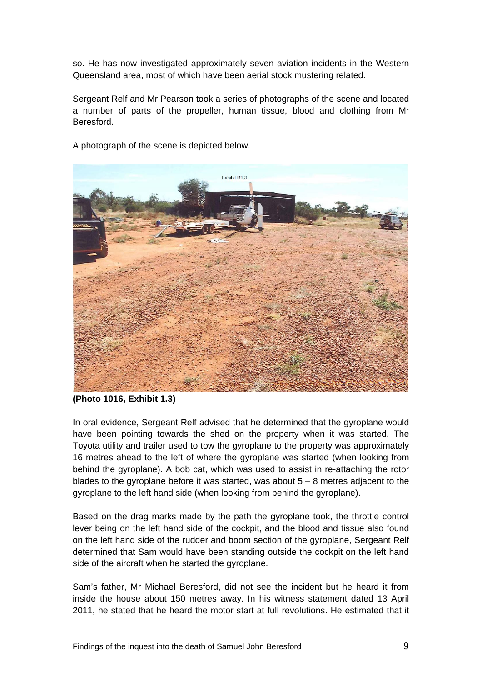so. He has now investigated approximately seven aviation incidents in the Western Queensland area, most of which have been aerial stock mustering related.

Sergeant Relf and Mr Pearson took a series of photographs of the scene and located a number of parts of the propeller, human tissue, blood and clothing from Mr Beresford.



A photograph of the scene is depicted below.

In oral evidence, Sergeant Relf advised that he determined that the gyroplane would have been pointing towards the shed on the property when it was started. The Toyota utility and trailer used to tow the gyroplane to the property was approximately 16 metres ahead to the left of where the gyroplane was started (when looking from behind the gyroplane). A bob cat, which was used to assist in re-attaching the rotor blades to the gyroplane before it was started, was about 5 – 8 metres adjacent to the gyroplane to the left hand side (when looking from behind the gyroplane).

Based on the drag marks made by the path the gyroplane took, the throttle control lever being on the left hand side of the cockpit, and the blood and tissue also found on the left hand side of the rudder and boom section of the gyroplane, Sergeant Relf determined that Sam would have been standing outside the cockpit on the left hand side of the aircraft when he started the gyroplane.

Sam's father, Mr Michael Beresford, did not see the incident but he heard it from inside the house about 150 metres away. In his witness statement dated 13 April 2011, he stated that he heard the motor start at full revolutions. He estimated that it

**<sup>(</sup>Photo 1016, Exhibit 1.3)**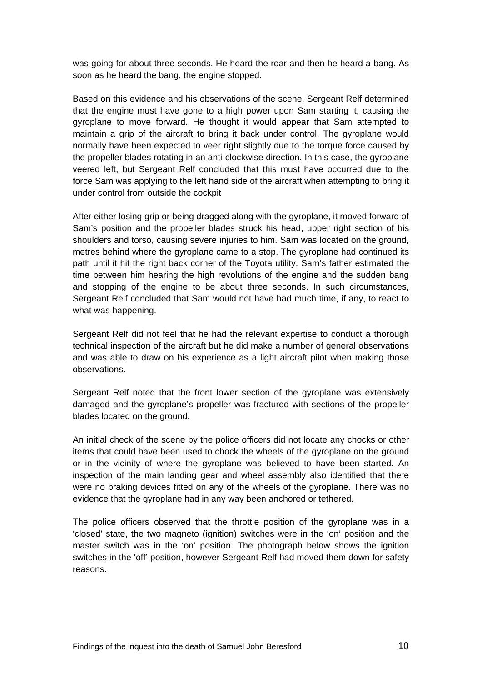was going for about three seconds. He heard the roar and then he heard a bang. As soon as he heard the bang, the engine stopped.

Based on this evidence and his observations of the scene, Sergeant Relf determined that the engine must have gone to a high power upon Sam starting it, causing the gyroplane to move forward. He thought it would appear that Sam attempted to maintain a grip of the aircraft to bring it back under control. The gyroplane would normally have been expected to veer right slightly due to the torque force caused by the propeller blades rotating in an anti-clockwise direction. In this case, the gyroplane veered left, but Sergeant Relf concluded that this must have occurred due to the force Sam was applying to the left hand side of the aircraft when attempting to bring it under control from outside the cockpit

After either losing grip or being dragged along with the gyroplane, it moved forward of Sam's position and the propeller blades struck his head, upper right section of his shoulders and torso, causing severe injuries to him. Sam was located on the ground, metres behind where the gyroplane came to a stop. The gyroplane had continued its path until it hit the right back corner of the Toyota utility. Sam's father estimated the time between him hearing the high revolutions of the engine and the sudden bang and stopping of the engine to be about three seconds. In such circumstances, Sergeant Relf concluded that Sam would not have had much time, if any, to react to what was happening.

Sergeant Relf did not feel that he had the relevant expertise to conduct a thorough technical inspection of the aircraft but he did make a number of general observations and was able to draw on his experience as a light aircraft pilot when making those observations.

Sergeant Relf noted that the front lower section of the gyroplane was extensively damaged and the gyroplane's propeller was fractured with sections of the propeller blades located on the ground.

An initial check of the scene by the police officers did not locate any chocks or other items that could have been used to chock the wheels of the gyroplane on the ground or in the vicinity of where the gyroplane was believed to have been started. An inspection of the main landing gear and wheel assembly also identified that there were no braking devices fitted on any of the wheels of the gyroplane. There was no evidence that the gyroplane had in any way been anchored or tethered.

The police officers observed that the throttle position of the gyroplane was in a 'closed' state, the two magneto (ignition) switches were in the 'on' position and the master switch was in the 'on' position. The photograph below shows the ignition switches in the 'off' position, however Sergeant Relf had moved them down for safety reasons.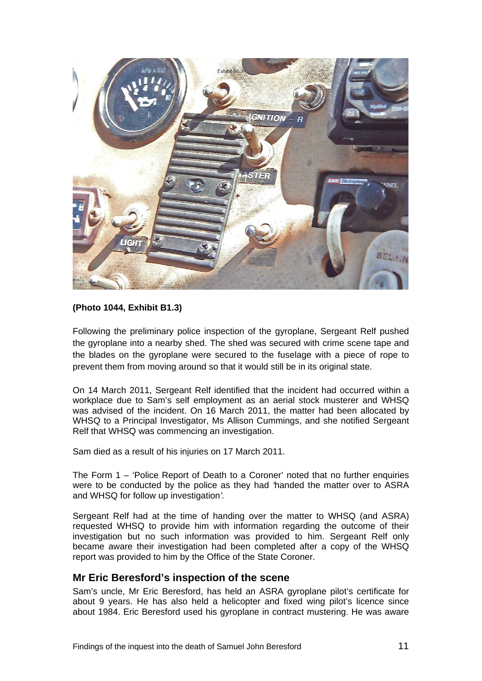

#### **(Photo 1044, Exhibit B1.3)**

Following the preliminary police inspection of the gyroplane, Sergeant Relf pushed the gyroplane into a nearby shed. The shed was secured with crime scene tape and the blades on the gyroplane were secured to the fuselage with a piece of rope to prevent them from moving around so that it would still be in its original state.

On 14 March 2011, Sergeant Relf identified that the incident had occurred within a workplace due to Sam's self employment as an aerial stock musterer and WHSQ was advised of the incident. On 16 March 2011, the matter had been allocated by WHSQ to a Principal Investigator, Ms Allison Cummings, and she notified Sergeant Relf that WHSQ was commencing an investigation.

Sam died as a result of his injuries on 17 March 2011.

The Form  $1 -$  'Police Report of Death to a Coroner' noted that no further enquiries were to be conducted by the police as they had *'*handed the matter over to ASRA and WHSQ for follow up investigation*'.* 

Sergeant Relf had at the time of handing over the matter to WHSQ (and ASRA) requested WHSQ to provide him with information regarding the outcome of their investigation but no such information was provided to him. Sergeant Relf only became aware their investigation had been completed after a copy of the WHSQ report was provided to him by the Office of the State Coroner.

#### <span id="page-12-0"></span>**Mr Eric Beresford's inspection of the scene**

Sam's uncle, Mr Eric Beresford, has held an ASRA gyroplane pilot's certificate for about 9 years. He has also held a helicopter and fixed wing pilot's licence since about 1984. Eric Beresford used his gyroplane in contract mustering. He was aware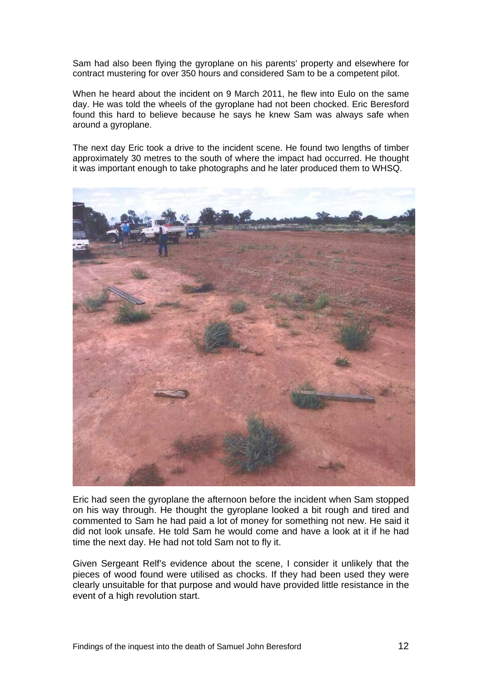Sam had also been flying the gyroplane on his parents' property and elsewhere for contract mustering for over 350 hours and considered Sam to be a competent pilot.

When he heard about the incident on 9 March 2011, he flew into Eulo on the same day. He was told the wheels of the gyroplane had not been chocked. Eric Beresford found this hard to believe because he says he knew Sam was always safe when around a gyroplane.

The next day Eric took a drive to the incident scene. He found two lengths of timber approximately 30 metres to the south of where the impact had occurred. He thought it was important enough to take photographs and he later produced them to WHSQ.



Eric had seen the gyroplane the afternoon before the incident when Sam stopped on his way through. He thought the gyroplane looked a bit rough and tired and commented to Sam he had paid a lot of money for something not new. He said it did not look unsafe. He told Sam he would come and have a look at it if he had time the next day. He had not told Sam not to fly it.

Given Sergeant Relf's evidence about the scene, I consider it unlikely that the pieces of wood found were utilised as chocks. If they had been used they were clearly unsuitable for that purpose and would have provided little resistance in the event of a high revolution start.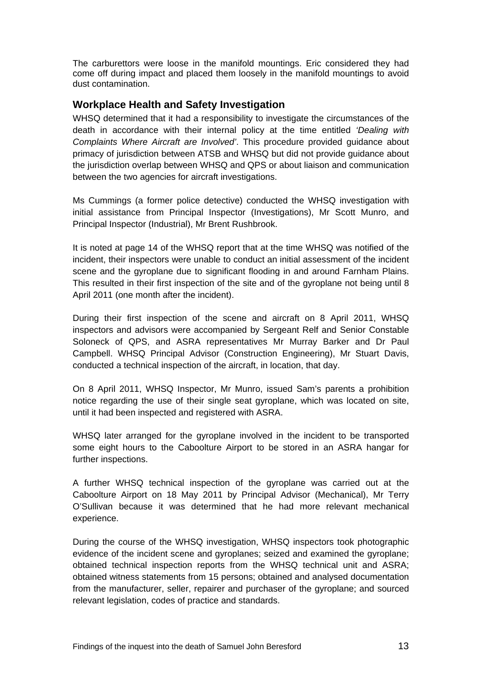The carburettors were loose in the manifold mountings. Eric considered they had come off during impact and placed them loosely in the manifold mountings to avoid dust contamination.

# <span id="page-14-0"></span>**Workplace Health and Safety Investigation**

WHSQ determined that it had a responsibility to investigate the circumstances of the death in accordance with their internal policy at the time entitled *'Dealing with Complaints Where Aircraft are Involved'*. This procedure provided guidance about primacy of jurisdiction between ATSB and WHSQ but did not provide guidance about the jurisdiction overlap between WHSQ and QPS or about liaison and communication between the two agencies for aircraft investigations.

Ms Cummings (a former police detective) conducted the WHSQ investigation with initial assistance from Principal Inspector (Investigations), Mr Scott Munro, and Principal Inspector (Industrial), Mr Brent Rushbrook.

It is noted at page 14 of the WHSQ report that at the time WHSQ was notified of the incident, their inspectors were unable to conduct an initial assessment of the incident scene and the gyroplane due to significant flooding in and around Farnham Plains. This resulted in their first inspection of the site and of the gyroplane not being until 8 April 2011 (one month after the incident).

During their first inspection of the scene and aircraft on 8 April 2011, WHSQ inspectors and advisors were accompanied by Sergeant Relf and Senior Constable Soloneck of QPS, and ASRA representatives Mr Murray Barker and Dr Paul Campbell. WHSQ Principal Advisor (Construction Engineering), Mr Stuart Davis, conducted a technical inspection of the aircraft, in location, that day.

On 8 April 2011, WHSQ Inspector, Mr Munro, issued Sam's parents a prohibition notice regarding the use of their single seat gyroplane, which was located on site, until it had been inspected and registered with ASRA.

WHSQ later arranged for the gyroplane involved in the incident to be transported some eight hours to the Caboolture Airport to be stored in an ASRA hangar for further inspections.

A further WHSQ technical inspection of the gyroplane was carried out at the Caboolture Airport on 18 May 2011 by Principal Advisor (Mechanical), Mr Terry O'Sullivan because it was determined that he had more relevant mechanical experience.

During the course of the WHSQ investigation, WHSQ inspectors took photographic evidence of the incident scene and gyroplanes; seized and examined the gyroplane; obtained technical inspection reports from the WHSQ technical unit and ASRA; obtained witness statements from 15 persons; obtained and analysed documentation from the manufacturer, seller, repairer and purchaser of the gyroplane; and sourced relevant legislation, codes of practice and standards.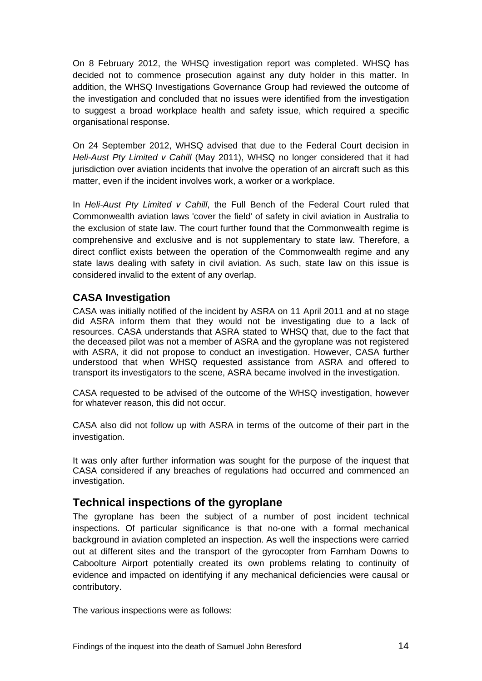On 8 February 2012, the WHSQ investigation report was completed. WHSQ has decided not to commence prosecution against any duty holder in this matter. In addition, the WHSQ Investigations Governance Group had reviewed the outcome of the investigation and concluded that no issues were identified from the investigation to suggest a broad workplace health and safety issue, which required a specific organisational response.

On 24 September 2012, WHSQ advised that due to the Federal Court decision in *Heli-Aust Pty Limited v Cahill* (May 2011), WHSQ no longer considered that it had jurisdiction over aviation incidents that involve the operation of an aircraft such as this matter, even if the incident involves work, a worker or a workplace.

In *Heli-Aust Pty Limited v Cahill*, the Full Bench of the Federal Court ruled that Commonwealth aviation laws 'cover the field' of safety in civil aviation in Australia to the exclusion of state law. The court further found that the Commonwealth regime is comprehensive and exclusive and is not supplementary to state law. Therefore, a direct conflict exists between the operation of the Commonwealth regime and any state laws dealing with safety in civil aviation. As such, state law on this issue is considered invalid to the extent of any overlap.

# <span id="page-15-0"></span>**CASA Investigation**

CASA was initially notified of the incident by ASRA on 11 April 2011 and at no stage did ASRA inform them that they would not be investigating due to a lack of resources. CASA understands that ASRA stated to WHSQ that, due to the fact that the deceased pilot was not a member of ASRA and the gyroplane was not registered with ASRA, it did not propose to conduct an investigation. However, CASA further understood that when WHSQ requested assistance from ASRA and offered to transport its investigators to the scene, ASRA became involved in the investigation.

CASA requested to be advised of the outcome of the WHSQ investigation, however for whatever reason, this did not occur.

CASA also did not follow up with ASRA in terms of the outcome of their part in the investigation.

It was only after further information was sought for the purpose of the inquest that CASA considered if any breaches of regulations had occurred and commenced an investigation.

# <span id="page-15-1"></span>**Technical inspections of the gyroplane**

The gyroplane has been the subject of a number of post incident technical inspections. Of particular significance is that no-one with a formal mechanical background in aviation completed an inspection. As well the inspections were carried out at different sites and the transport of the gyrocopter from Farnham Downs to Caboolture Airport potentially created its own problems relating to continuity of evidence and impacted on identifying if any mechanical deficiencies were causal or contributory.

The various inspections were as follows: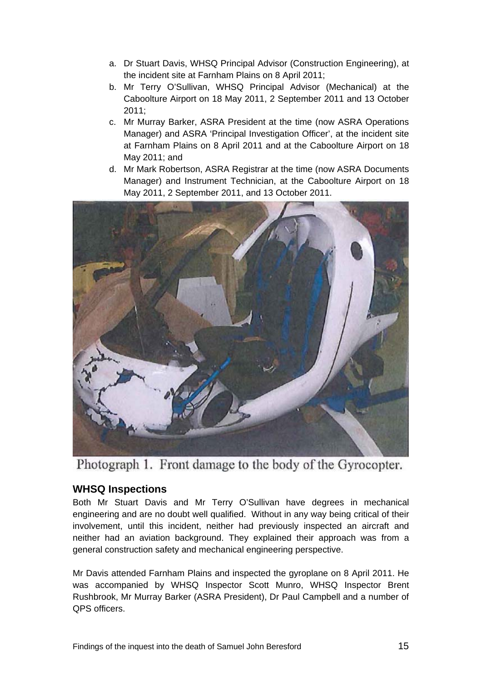- a. Dr Stuart Davis, WHSQ Principal Advisor (Construction Engineering), at the incident site at Farnham Plains on 8 April 2011;
- b. Mr Terry O'Sullivan, WHSQ Principal Advisor (Mechanical) at the Caboolture Airport on 18 May 2011, 2 September 2011 and 13 October 2011;
- c. Mr Murray Barker, ASRA President at the time (now ASRA Operations Manager) and ASRA 'Principal Investigation Officer', at the incident site at Farnham Plains on 8 April 2011 and at the Caboolture Airport on 18 May 2011; and
- d. Mr Mark Robertson, ASRA Registrar at the time (now ASRA Documents Manager) and Instrument Technician, at the Caboolture Airport on 18 May 2011, 2 September 2011, and 13 October 2011.



Photograph 1. Front damage to the body of the Gyrocopter.

# <span id="page-16-0"></span>**WHSQ Inspections**

Both Mr Stuart Davis and Mr Terry O'Sullivan have degrees in mechanical engineering and are no doubt well qualified. Without in any way being critical of their involvement, until this incident, neither had previously inspected an aircraft and neither had an aviation background. They explained their approach was from a general construction safety and mechanical engineering perspective.

Mr Davis attended Farnham Plains and inspected the gyroplane on 8 April 2011. He was accompanied by WHSQ Inspector Scott Munro, WHSQ Inspector Brent Rushbrook, Mr Murray Barker (ASRA President), Dr Paul Campbell and a number of QPS officers.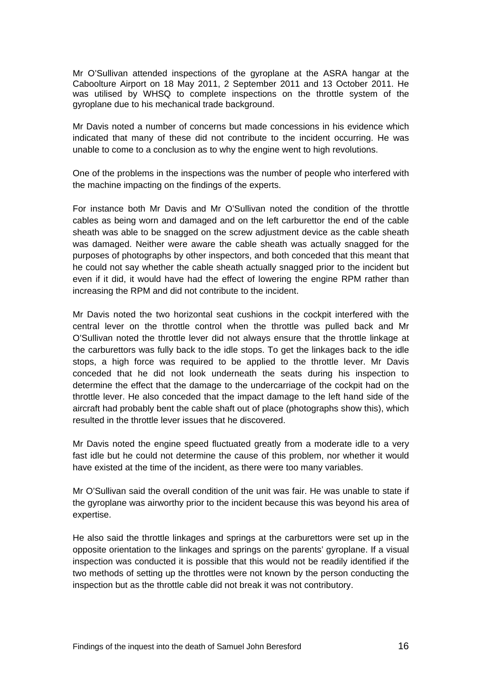Mr O'Sullivan attended inspections of the gyroplane at the ASRA hangar at the Caboolture Airport on 18 May 2011, 2 September 2011 and 13 October 2011. He was utilised by WHSQ to complete inspections on the throttle system of the gyroplane due to his mechanical trade background.

Mr Davis noted a number of concerns but made concessions in his evidence which indicated that many of these did not contribute to the incident occurring. He was unable to come to a conclusion as to why the engine went to high revolutions.

One of the problems in the inspections was the number of people who interfered with the machine impacting on the findings of the experts.

For instance both Mr Davis and Mr O'Sullivan noted the condition of the throttle cables as being worn and damaged and on the left carburettor the end of the cable sheath was able to be snagged on the screw adjustment device as the cable sheath was damaged. Neither were aware the cable sheath was actually snagged for the purposes of photographs by other inspectors, and both conceded that this meant that he could not say whether the cable sheath actually snagged prior to the incident but even if it did, it would have had the effect of lowering the engine RPM rather than increasing the RPM and did not contribute to the incident.

Mr Davis noted the two horizontal seat cushions in the cockpit interfered with the central lever on the throttle control when the throttle was pulled back and Mr O'Sullivan noted the throttle lever did not always ensure that the throttle linkage at the carburettors was fully back to the idle stops. To get the linkages back to the idle stops, a high force was required to be applied to the throttle lever. Mr Davis conceded that he did not look underneath the seats during his inspection to determine the effect that the damage to the undercarriage of the cockpit had on the throttle lever. He also conceded that the impact damage to the left hand side of the aircraft had probably bent the cable shaft out of place (photographs show this), which resulted in the throttle lever issues that he discovered.

Mr Davis noted the engine speed fluctuated greatly from a moderate idle to a very fast idle but he could not determine the cause of this problem, nor whether it would have existed at the time of the incident, as there were too many variables.

Mr O'Sullivan said the overall condition of the unit was fair. He was unable to state if the gyroplane was airworthy prior to the incident because this was beyond his area of expertise.

He also said the throttle linkages and springs at the carburettors were set up in the opposite orientation to the linkages and springs on the parents' gyroplane. If a visual inspection was conducted it is possible that this would not be readily identified if the two methods of setting up the throttles were not known by the person conducting the inspection but as the throttle cable did not break it was not contributory.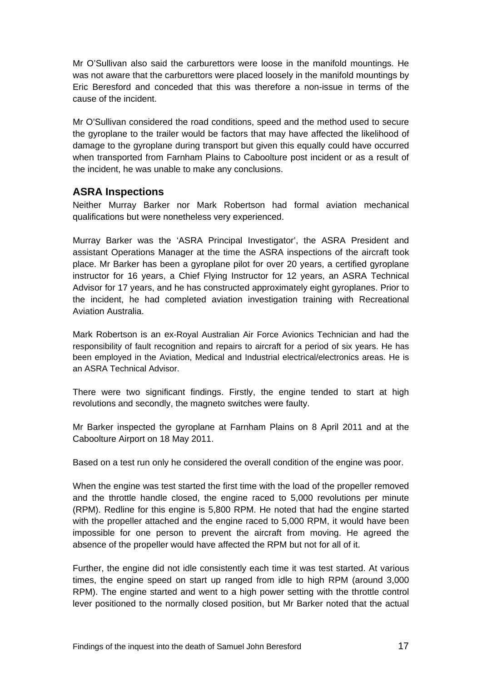Mr O'Sullivan also said the carburettors were loose in the manifold mountings. He was not aware that the carburettors were placed loosely in the manifold mountings by Eric Beresford and conceded that this was therefore a non-issue in terms of the cause of the incident.

Mr O'Sullivan considered the road conditions, speed and the method used to secure the gyroplane to the trailer would be factors that may have affected the likelihood of damage to the gyroplane during transport but given this equally could have occurred when transported from Farnham Plains to Caboolture post incident or as a result of the incident, he was unable to make any conclusions.

# <span id="page-18-0"></span>**ASRA Inspections**

Neither Murray Barker nor Mark Robertson had formal aviation mechanical qualifications but were nonetheless very experienced.

Murray Barker was the 'ASRA Principal Investigator', the ASRA President and assistant Operations Manager at the time the ASRA inspections of the aircraft took place. Mr Barker has been a gyroplane pilot for over 20 years, a certified gyroplane instructor for 16 years, a Chief Flying Instructor for 12 years, an ASRA Technical Advisor for 17 years, and he has constructed approximately eight gyroplanes. Prior to the incident, he had completed aviation investigation training with Recreational Aviation Australia.

Mark Robertson is an ex-Royal Australian Air Force Avionics Technician and had the responsibility of fault recognition and repairs to aircraft for a period of six years. He has been employed in the Aviation, Medical and Industrial electrical/electronics areas. He is an ASRA Technical Advisor.

There were two significant findings. Firstly, the engine tended to start at high revolutions and secondly, the magneto switches were faulty.

Mr Barker inspected the gyroplane at Farnham Plains on 8 April 2011 and at the Caboolture Airport on 18 May 2011.

Based on a test run only he considered the overall condition of the engine was poor.

When the engine was test started the first time with the load of the propeller removed and the throttle handle closed, the engine raced to 5,000 revolutions per minute (RPM). Redline for this engine is 5,800 RPM. He noted that had the engine started with the propeller attached and the engine raced to 5,000 RPM, it would have been impossible for one person to prevent the aircraft from moving. He agreed the absence of the propeller would have affected the RPM but not for all of it.

Further, the engine did not idle consistently each time it was test started. At various times, the engine speed on start up ranged from idle to high RPM (around 3,000 RPM). The engine started and went to a high power setting with the throttle control lever positioned to the normally closed position, but Mr Barker noted that the actual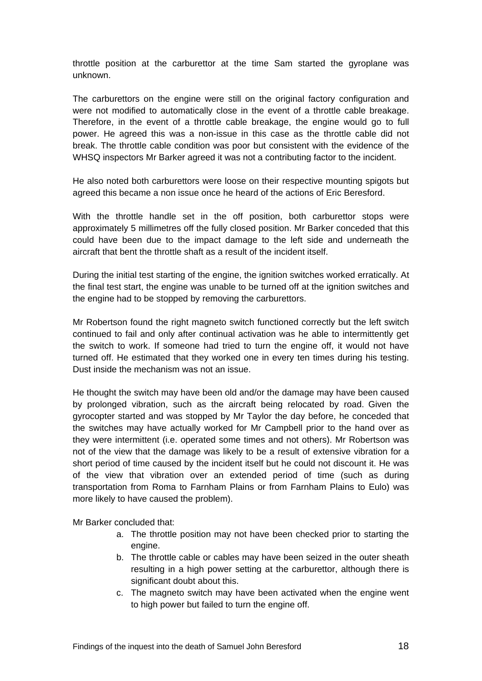throttle position at the carburettor at the time Sam started the gyroplane was unknown.

The carburettors on the engine were still on the original factory configuration and were not modified to automatically close in the event of a throttle cable breakage. Therefore, in the event of a throttle cable breakage, the engine would go to full power. He agreed this was a non-issue in this case as the throttle cable did not break. The throttle cable condition was poor but consistent with the evidence of the WHSQ inspectors Mr Barker agreed it was not a contributing factor to the incident.

He also noted both carburettors were loose on their respective mounting spigots but agreed this became a non issue once he heard of the actions of Eric Beresford.

With the throttle handle set in the off position, both carburettor stops were approximately 5 millimetres off the fully closed position. Mr Barker conceded that this could have been due to the impact damage to the left side and underneath the aircraft that bent the throttle shaft as a result of the incident itself.

During the initial test starting of the engine, the ignition switches worked erratically. At the final test start, the engine was unable to be turned off at the ignition switches and the engine had to be stopped by removing the carburettors.

Mr Robertson found the right magneto switch functioned correctly but the left switch continued to fail and only after continual activation was he able to intermittently get the switch to work. If someone had tried to turn the engine off, it would not have turned off. He estimated that they worked one in every ten times during his testing. Dust inside the mechanism was not an issue.

He thought the switch may have been old and/or the damage may have been caused by prolonged vibration, such as the aircraft being relocated by road. Given the gyrocopter started and was stopped by Mr Taylor the day before, he conceded that the switches may have actually worked for Mr Campbell prior to the hand over as they were intermittent (i.e. operated some times and not others). Mr Robertson was not of the view that the damage was likely to be a result of extensive vibration for a short period of time caused by the incident itself but he could not discount it. He was of the view that vibration over an extended period of time (such as during transportation from Roma to Farnham Plains or from Farnham Plains to Eulo) was more likely to have caused the problem).

Mr Barker concluded that:

- a. The throttle position may not have been checked prior to starting the engine.
- b. The throttle cable or cables may have been seized in the outer sheath resulting in a high power setting at the carburettor, although there is significant doubt about this.
- c. The magneto switch may have been activated when the engine went to high power but failed to turn the engine off.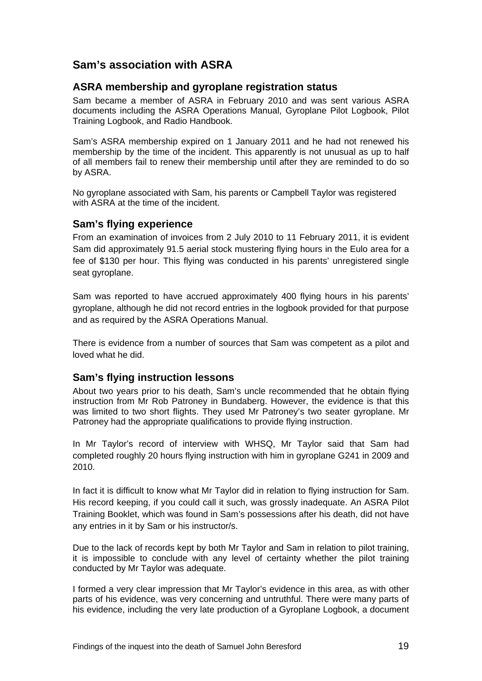# <span id="page-20-0"></span>**Sam's association with ASRA**

#### <span id="page-20-1"></span>**ASRA membership and gyroplane registration status**

Sam became a member of ASRA in February 2010 and was sent various ASRA documents including the ASRA Operations Manual, Gyroplane Pilot Logbook, Pilot Training Logbook, and Radio Handbook.

Sam's ASRA membership expired on 1 January 2011 and he had not renewed his membership by the time of the incident. This apparently is not unusual as up to half of all members fail to renew their membership until after they are reminded to do so by ASRA.

No gyroplane associated with Sam, his parents or Campbell Taylor was registered with ASRA at the time of the incident.

## <span id="page-20-2"></span>**Sam's flying experience**

From an examination of invoices from 2 July 2010 to 11 February 2011, it is evident Sam did approximately 91.5 aerial stock mustering flying hours in the Eulo area for a fee of \$130 per hour. This flying was conducted in his parents' unregistered single seat gyroplane.

Sam was reported to have accrued approximately 400 flying hours in his parents' gyroplane, although he did not record entries in the logbook provided for that purpose and as required by the ASRA Operations Manual.

There is evidence from a number of sources that Sam was competent as a pilot and loved what he did.

#### <span id="page-20-3"></span>**Sam's flying instruction lessons**

About two years prior to his death, Sam's uncle recommended that he obtain flying instruction from Mr Rob Patroney in Bundaberg. However, the evidence is that this was limited to two short flights. They used Mr Patroney's two seater gyroplane. Mr Patroney had the appropriate qualifications to provide flying instruction.

In Mr Taylor's record of interview with WHSQ, Mr Taylor said that Sam had completed roughly 20 hours flying instruction with him in gyroplane G241 in 2009 and 2010.

In fact it is difficult to know what Mr Taylor did in relation to flying instruction for Sam. His record keeping, if you could call it such, was grossly inadequate. An ASRA Pilot Training Booklet, which was found in Sam's possessions after his death, did not have any entries in it by Sam or his instructor/s.

Due to the lack of records kept by both Mr Taylor and Sam in relation to pilot training, it is impossible to conclude with any level of certainty whether the pilot training conducted by Mr Taylor was adequate.

I formed a very clear impression that Mr Taylor's evidence in this area, as with other parts of his evidence, was very concerning and untruthful. There were many parts of his evidence, including the very late production of a Gyroplane Logbook, a document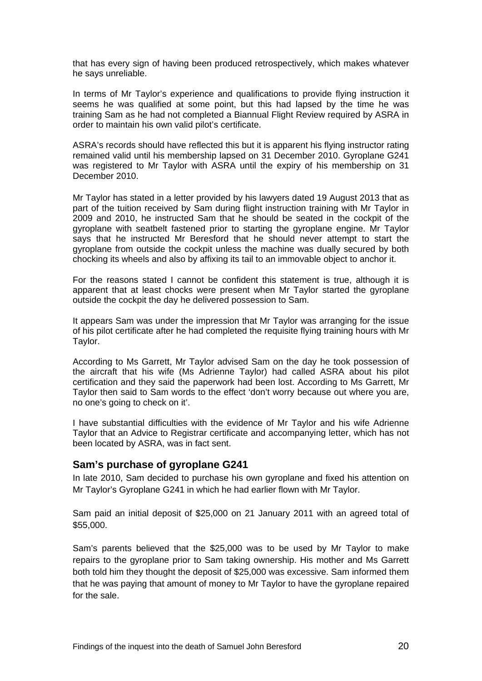that has every sign of having been produced retrospectively, which makes whatever he says unreliable.

In terms of Mr Taylor's experience and qualifications to provide flying instruction it seems he was qualified at some point, but this had lapsed by the time he was training Sam as he had not completed a Biannual Flight Review required by ASRA in order to maintain his own valid pilot's certificate.

ASRA's records should have reflected this but it is apparent his flying instructor rating remained valid until his membership lapsed on 31 December 2010. Gyroplane G241 was registered to Mr Taylor with ASRA until the expiry of his membership on 31 December 2010.

Mr Taylor has stated in a letter provided by his lawyers dated 19 August 2013 that as part of the tuition received by Sam during flight instruction training with Mr Taylor in 2009 and 2010, he instructed Sam that he should be seated in the cockpit of the gyroplane with seatbelt fastened prior to starting the gyroplane engine. Mr Taylor says that he instructed Mr Beresford that he should never attempt to start the gyroplane from outside the cockpit unless the machine was dually secured by both chocking its wheels and also by affixing its tail to an immovable object to anchor it.

For the reasons stated I cannot be confident this statement is true, although it is apparent that at least chocks were present when Mr Taylor started the gyroplane outside the cockpit the day he delivered possession to Sam.

It appears Sam was under the impression that Mr Taylor was arranging for the issue of his pilot certificate after he had completed the requisite flying training hours with Mr Taylor.

According to Ms Garrett, Mr Taylor advised Sam on the day he took possession of the aircraft that his wife (Ms Adrienne Taylor) had called ASRA about his pilot certification and they said the paperwork had been lost. According to Ms Garrett, Mr Taylor then said to Sam words to the effect 'don't worry because out where you are, no one's going to check on it'.

I have substantial difficulties with the evidence of Mr Taylor and his wife Adrienne Taylor that an Advice to Registrar certificate and accompanying letter, which has not been located by ASRA, was in fact sent.

#### <span id="page-21-0"></span>**Sam's purchase of gyroplane G241**

In late 2010, Sam decided to purchase his own gyroplane and fixed his attention on Mr Taylor's Gyroplane G241 in which he had earlier flown with Mr Taylor.

Sam paid an initial deposit of \$25,000 on 21 January 2011 with an agreed total of \$55,000.

Sam's parents believed that the \$25,000 was to be used by Mr Taylor to make repairs to the gyroplane prior to Sam taking ownership. His mother and Ms Garrett both told him they thought the deposit of \$25,000 was excessive. Sam informed them that he was paying that amount of money to Mr Taylor to have the gyroplane repaired for the sale.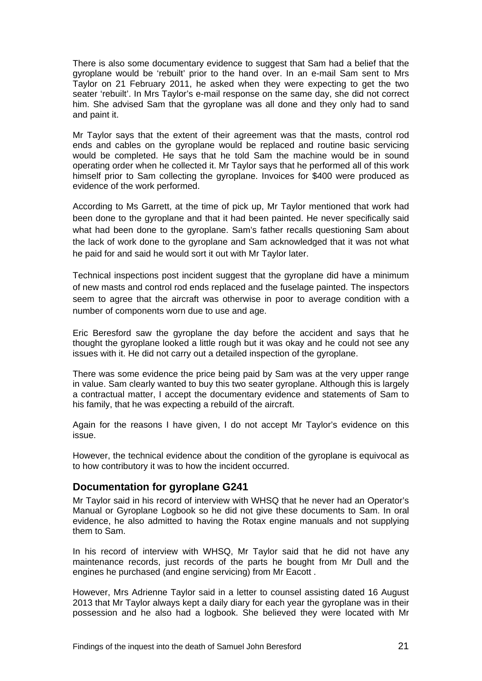There is also some documentary evidence to suggest that Sam had a belief that the gyroplane would be 'rebuilt' prior to the hand over. In an e-mail Sam sent to Mrs Taylor on 21 February 2011, he asked when they were expecting to get the two seater 'rebuilt'. In Mrs Taylor's e-mail response on the same day, she did not correct him. She advised Sam that the gyroplane was all done and they only had to sand and paint it.

Mr Taylor says that the extent of their agreement was that the masts, control rod ends and cables on the gyroplane would be replaced and routine basic servicing would be completed. He says that he told Sam the machine would be in sound operating order when he collected it. Mr Taylor says that he performed all of this work himself prior to Sam collecting the gyroplane. Invoices for \$400 were produced as evidence of the work performed.

According to Ms Garrett, at the time of pick up, Mr Taylor mentioned that work had been done to the gyroplane and that it had been painted. He never specifically said what had been done to the gyroplane. Sam's father recalls questioning Sam about the lack of work done to the gyroplane and Sam acknowledged that it was not what he paid for and said he would sort it out with Mr Taylor later.

Technical inspections post incident suggest that the gyroplane did have a minimum of new masts and control rod ends replaced and the fuselage painted. The inspectors seem to agree that the aircraft was otherwise in poor to average condition with a number of components worn due to use and age.

Eric Beresford saw the gyroplane the day before the accident and says that he thought the gyroplane looked a little rough but it was okay and he could not see any issues with it. He did not carry out a detailed inspection of the gyroplane.

There was some evidence the price being paid by Sam was at the very upper range in value. Sam clearly wanted to buy this two seater gyroplane. Although this is largely a contractual matter, I accept the documentary evidence and statements of Sam to his family, that he was expecting a rebuild of the aircraft.

Again for the reasons I have given, I do not accept Mr Taylor's evidence on this issue.

However, the technical evidence about the condition of the gyroplane is equivocal as to how contributory it was to how the incident occurred.

#### <span id="page-22-0"></span>**Documentation for gyroplane G241**

Mr Taylor said in his record of interview with WHSQ that he never had an Operator's Manual or Gyroplane Logbook so he did not give these documents to Sam. In oral evidence, he also admitted to having the Rotax engine manuals and not supplying them to Sam.

In his record of interview with WHSQ, Mr Taylor said that he did not have any maintenance records, just records of the parts he bought from Mr Dull and the engines he purchased (and engine servicing) from Mr Eacott .

However, Mrs Adrienne Taylor said in a letter to counsel assisting dated 16 August 2013 that Mr Taylor always kept a daily diary for each year the gyroplane was in their possession and he also had a logbook. She believed they were located with Mr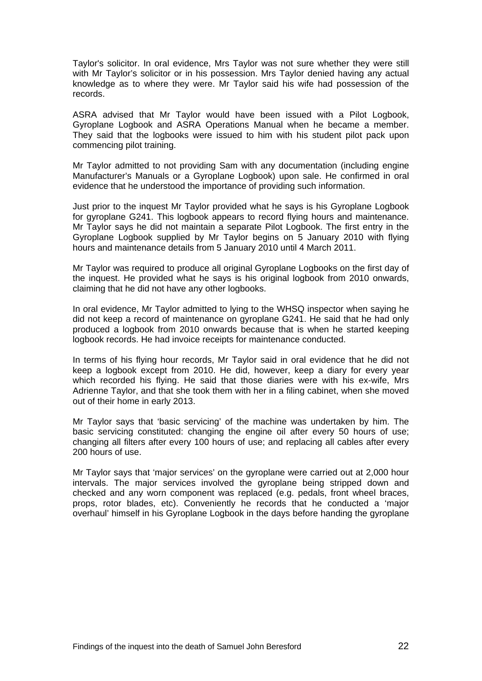Taylor's solicitor. In oral evidence, Mrs Taylor was not sure whether they were still with Mr Taylor's solicitor or in his possession. Mrs Taylor denied having any actual knowledge as to where they were. Mr Taylor said his wife had possession of the records.

ASRA advised that Mr Taylor would have been issued with a Pilot Logbook, Gyroplane Logbook and ASRA Operations Manual when he became a member. They said that the logbooks were issued to him with his student pilot pack upon commencing pilot training.

Mr Taylor admitted to not providing Sam with any documentation (including engine Manufacturer's Manuals or a Gyroplane Logbook) upon sale. He confirmed in oral evidence that he understood the importance of providing such information.

Just prior to the inquest Mr Taylor provided what he says is his Gyroplane Logbook for gyroplane G241. This logbook appears to record flying hours and maintenance. Mr Taylor says he did not maintain a separate Pilot Logbook. The first entry in the Gyroplane Logbook supplied by Mr Taylor begins on 5 January 2010 with flying hours and maintenance details from 5 January 2010 until 4 March 2011.

Mr Taylor was required to produce all original Gyroplane Logbooks on the first day of the inquest. He provided what he says is his original logbook from 2010 onwards, claiming that he did not have any other logbooks.

In oral evidence, Mr Taylor admitted to lying to the WHSQ inspector when saying he did not keep a record of maintenance on gyroplane G241. He said that he had only produced a logbook from 2010 onwards because that is when he started keeping logbook records. He had invoice receipts for maintenance conducted.

In terms of his flying hour records, Mr Taylor said in oral evidence that he did not keep a logbook except from 2010. He did, however, keep a diary for every year which recorded his flying. He said that those diaries were with his ex-wife, Mrs Adrienne Taylor, and that she took them with her in a filing cabinet, when she moved out of their home in early 2013.

Mr Taylor says that 'basic servicing' of the machine was undertaken by him. The basic servicing constituted: changing the engine oil after every 50 hours of use; changing all filters after every 100 hours of use; and replacing all cables after every 200 hours of use.

Mr Taylor says that 'major services' on the gyroplane were carried out at 2,000 hour intervals. The major services involved the gyroplane being stripped down and checked and any worn component was replaced (e.g. pedals, front wheel braces, props, rotor blades, etc). Conveniently he records that he conducted a 'major overhaul' himself in his Gyroplane Logbook in the days before handing the gyroplane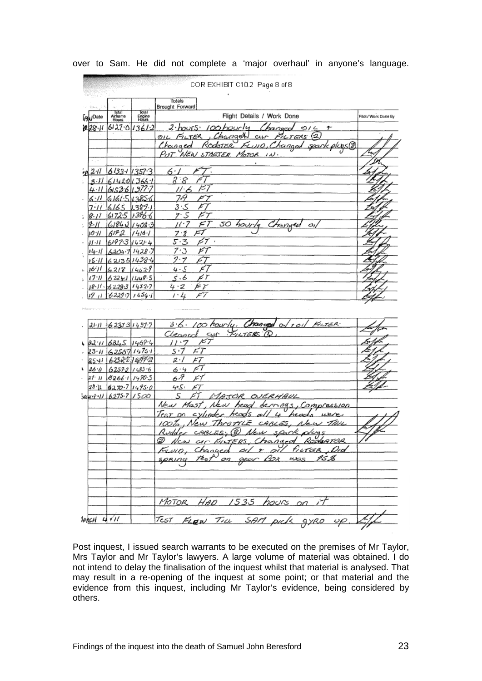|                 | <u>man ya wasaye ya masa</u>        |                          |                                                                                                               |                      |
|-----------------|-------------------------------------|--------------------------|---------------------------------------------------------------------------------------------------------------|----------------------|
|                 |                                     |                          | Totals                                                                                                        |                      |
| <b>PaulOate</b> | Total<br>Aldrame<br>Hours           | Total<br>Engine<br>Hours | Brought Forward<br>Flight Details / Work Done                                                                 | Pilot / Work Done By |
| U 28 H          | 6127013612                          |                          | 2. hours. 100 hourly<br>Changed<br>O/4<br>+                                                                   |                      |
|                 |                                     |                          | Changel<br><b>PLTERS</b> <sup>2</sup><br>FILTER<br>OIL<br>CLLM                                                |                      |
|                 |                                     |                          | Fi u10, Changod spark plus@<br>Rodotisr<br><u>Changed</u>                                                     |                      |
|                 |                                     |                          | PUT NEW STARTER MOTOR IN.                                                                                     |                      |
|                 |                                     |                          |                                                                                                               |                      |
| 211             | 6133113573                          |                          | 6. I                                                                                                          |                      |
| 3·11            | 614201366                           |                          | 2.8                                                                                                           |                      |
| 4.11            | 61536 1377                          |                          | κ,<br>ルム                                                                                                      |                      |
| 6·11            | 6161.513856                         |                          | 7.9<br>x                                                                                                      |                      |
| 7.11            | 6165                                | U389.                    | ى 3<br>דא                                                                                                     |                      |
| 18.11           | 61725                               | 1396.6                   | F 7<br>7. S                                                                                                   |                      |
| 19-11           | 6184214083                          |                          | 50 hourly<br>11 <sup>. 7</sup><br>F)                                                                          |                      |
| וויטו           | 6192                                | $1416 - 1$               | F T<br>フ・オ                                                                                                    |                      |
| $11 - 11$       | 61973                               | 142.4                    | ÞΤ<br>5.3<br>$\mathcal{A}$                                                                                    |                      |
|                 | 14.11   6204.7   1428.              |                          | 7.3<br>F 1                                                                                                    |                      |
|                 | 15-11 62135 1438-4                  |                          | 9.7<br>μ7                                                                                                     |                      |
|                 | 16116218                            | 14429                    | أسحر<br>4.5                                                                                                   |                      |
|                 |                                     |                          |                                                                                                               |                      |
|                 |                                     |                          |                                                                                                               |                      |
| $(7 - 1)$       | 62241                               | 1448.5                   | 5.6<br>е т                                                                                                    |                      |
| з£              | $18.11 - 62283114327$<br>6229711454 |                          | Eγ<br>4-2<br>F 7<br>1 · 4                                                                                     |                      |
|                 | $21.11 + 6233314577$                |                          | 3.6. 100 hourly, Changed of roil Kuter.                                                                       |                      |
|                 |                                     |                          | CUT PILTERS Q<br>Cleaned                                                                                      |                      |
|                 | 62.11 6245 1468.4                   |                          | דא<br>11・7                                                                                                    |                      |
|                 | 23.4   62567   14751                |                          | FT.<br>s 17                                                                                                   |                      |
|                 | 2541 62522 1499 2                   |                          | 2.1<br>F T                                                                                                    |                      |
|                 | 62592/1483.6                        |                          | 6.4                                                                                                           |                      |
| 27. 11          | 8266.11990.5                        |                          | 6:7                                                                                                           |                      |
| しふか<br>28 U     | 6270.714950                         |                          | 4.5.<br>F 7                                                                                                   |                      |
|                 | $444 - 11 6275 - 7 1500$            |                          | 5<br>MATOR OVERHAUL                                                                                           |                      |
|                 |                                     |                          | New Mast<br>New head berrings, Compression                                                                    |                      |
|                 |                                     |                          | Test on<br>s vlindes                                                                                          |                      |
|                 |                                     |                          | OTTLE<br>CABLES.<br>ew                                                                                        |                      |
|                 |                                     |                          | $\left( 8\right)$<br>sAxrk<br>Nev<br>CABLES,<br>o/cra                                                         |                      |
|                 |                                     |                          |                                                                                                               |                      |
|                 |                                     |                          |                                                                                                               |                      |
|                 |                                     |                          | @ New arc FutERS, Changed Rodonner //<br>Fuvio, Changed al r al futer Did<br>spring test on gear Box was 95,8 |                      |
|                 |                                     |                          |                                                                                                               |                      |
|                 |                                     |                          |                                                                                                               |                      |
|                 |                                     |                          | MOTOR HAD 1535 hours on it<br>TEST FLOW TILL SAM pick gyRO up. Lift                                           |                      |

over to Sam. He did not complete a 'major overhaul' in anyone's language.

Post inquest, I issued search warrants to be executed on the premises of Mr Taylor, Mrs Taylor and Mr Taylor's lawyers. A large volume of material was obtained. I do not intend to delay the finalisation of the inquest whilst that material is analysed. That may result in a re-opening of the inquest at some point; or that material and the evidence from this inquest, including Mr Taylor's evidence, being considered by others.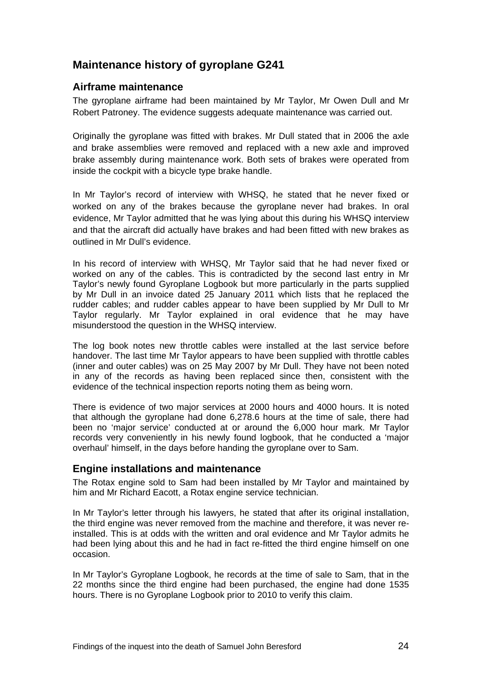# <span id="page-25-0"></span>**Maintenance history of gyroplane G241**

## <span id="page-25-1"></span>**Airframe maintenance**

The gyroplane airframe had been maintained by Mr Taylor, Mr Owen Dull and Mr Robert Patroney. The evidence suggests adequate maintenance was carried out.

Originally the gyroplane was fitted with brakes. Mr Dull stated that in 2006 the axle and brake assemblies were removed and replaced with a new axle and improved brake assembly during maintenance work. Both sets of brakes were operated from inside the cockpit with a bicycle type brake handle.

In Mr Taylor's record of interview with WHSQ, he stated that he never fixed or worked on any of the brakes because the gyroplane never had brakes. In oral evidence, Mr Taylor admitted that he was lying about this during his WHSQ interview and that the aircraft did actually have brakes and had been fitted with new brakes as outlined in Mr Dull's evidence.

In his record of interview with WHSQ, Mr Taylor said that he had never fixed or worked on any of the cables. This is contradicted by the second last entry in Mr Taylor's newly found Gyroplane Logbook but more particularly in the parts supplied by Mr Dull in an invoice dated 25 January 2011 which lists that he replaced the rudder cables; and rudder cables appear to have been supplied by Mr Dull to Mr Taylor regularly. Mr Taylor explained in oral evidence that he may have misunderstood the question in the WHSQ interview.

The log book notes new throttle cables were installed at the last service before handover. The last time Mr Taylor appears to have been supplied with throttle cables (inner and outer cables) was on 25 May 2007 by Mr Dull. They have not been noted in any of the records as having been replaced since then, consistent with the evidence of the technical inspection reports noting them as being worn.

There is evidence of two major services at 2000 hours and 4000 hours. It is noted that although the gyroplane had done 6,278.6 hours at the time of sale, there had been no 'major service' conducted at or around the 6,000 hour mark. Mr Taylor records very conveniently in his newly found logbook, that he conducted a 'major overhaul' himself, in the days before handing the gyroplane over to Sam.

#### <span id="page-25-2"></span>**Engine installations and maintenance**

The Rotax engine sold to Sam had been installed by Mr Taylor and maintained by him and Mr Richard Eacott, a Rotax engine service technician.

In Mr Taylor's letter through his lawyers, he stated that after its original installation, the third engine was never removed from the machine and therefore, it was never reinstalled. This is at odds with the written and oral evidence and Mr Taylor admits he had been lying about this and he had in fact re-fitted the third engine himself on one occasion.

In Mr Taylor's Gyroplane Logbook, he records at the time of sale to Sam, that in the 22 months since the third engine had been purchased, the engine had done 1535 hours. There is no Gyroplane Logbook prior to 2010 to verify this claim.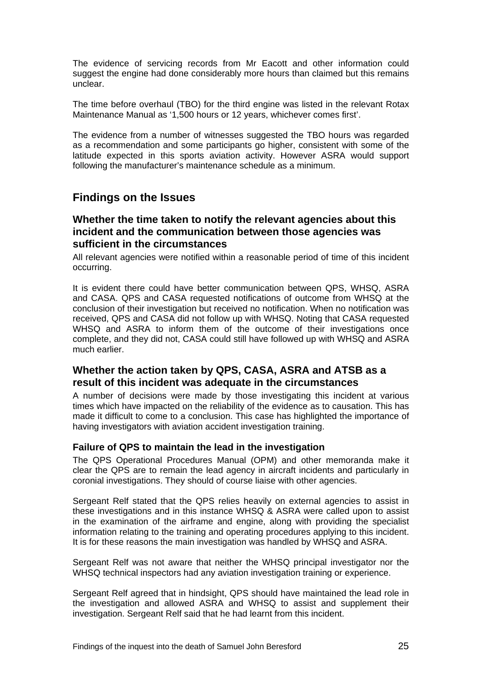The evidence of servicing records from Mr Eacott and other information could suggest the engine had done considerably more hours than claimed but this remains unclear.

The time before overhaul (TBO) for the third engine was listed in the relevant Rotax Maintenance Manual as '1,500 hours or 12 years, whichever comes first'.

The evidence from a number of witnesses suggested the TBO hours was regarded as a recommendation and some participants go higher, consistent with some of the latitude expected in this sports aviation activity. However ASRA would support following the manufacturer's maintenance schedule as a minimum.

# <span id="page-26-0"></span>**Findings on the Issues**

#### <span id="page-26-1"></span>**Whether the time taken to notify the relevant agencies about this incident and the communication between those agencies was sufficient in the circumstances**

All relevant agencies were notified within a reasonable period of time of this incident occurring.

It is evident there could have better communication between QPS, WHSQ, ASRA and CASA. QPS and CASA requested notifications of outcome from WHSQ at the conclusion of their investigation but received no notification. When no notification was received, QPS and CASA did not follow up with WHSQ. Noting that CASA requested WHSQ and ASRA to inform them of the outcome of their investigations once complete, and they did not, CASA could still have followed up with WHSQ and ASRA much earlier.

## <span id="page-26-2"></span>**Whether the action taken by QPS, CASA, ASRA and ATSB as a result of this incident was adequate in the circumstances**

A number of decisions were made by those investigating this incident at various times which have impacted on the reliability of the evidence as to causation. This has made it difficult to come to a conclusion. This case has highlighted the importance of having investigators with aviation accident investigation training.

#### **Failure of QPS to maintain the lead in the investigation**

The QPS Operational Procedures Manual (OPM) and other memoranda make it clear the QPS are to remain the lead agency in aircraft incidents and particularly in coronial investigations. They should of course liaise with other agencies.

Sergeant Relf stated that the QPS relies heavily on external agencies to assist in these investigations and in this instance WHSQ & ASRA were called upon to assist in the examination of the airframe and engine, along with providing the specialist information relating to the training and operating procedures applying to this incident. It is for these reasons the main investigation was handled by WHSQ and ASRA.

Sergeant Relf was not aware that neither the WHSQ principal investigator nor the WHSQ technical inspectors had any aviation investigation training or experience.

Sergeant Relf agreed that in hindsight, QPS should have maintained the lead role in the investigation and allowed ASRA and WHSQ to assist and supplement their investigation. Sergeant Relf said that he had learnt from this incident.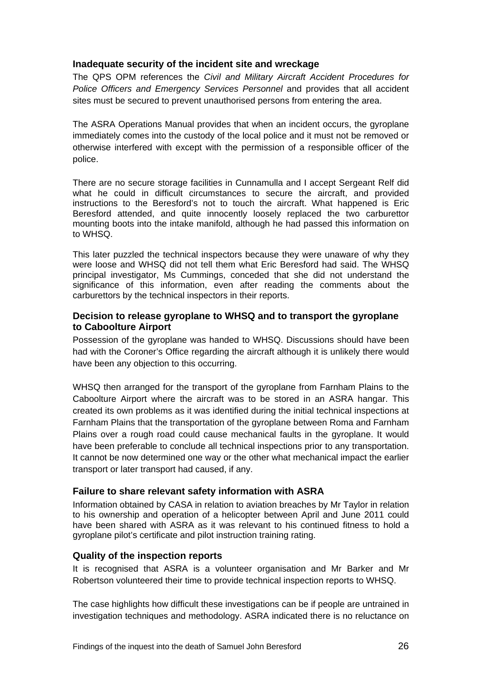#### **Inadequate security of the incident site and wreckage**

The QPS OPM references the *Civil and Military Aircraft Accident Procedures for Police Officers and Emergency Services Personnel* and provides that all accident sites must be secured to prevent unauthorised persons from entering the area.

The ASRA Operations Manual provides that when an incident occurs, the gyroplane immediately comes into the custody of the local police and it must not be removed or otherwise interfered with except with the permission of a responsible officer of the police.

There are no secure storage facilities in Cunnamulla and I accept Sergeant Relf did what he could in difficult circumstances to secure the aircraft, and provided instructions to the Beresford's not to touch the aircraft. What happened is Eric Beresford attended, and quite innocently loosely replaced the two carburettor mounting boots into the intake manifold, although he had passed this information on to WHSQ.

This later puzzled the technical inspectors because they were unaware of why they were loose and WHSQ did not tell them what Eric Beresford had said. The WHSQ principal investigator, Ms Cummings, conceded that she did not understand the significance of this information, even after reading the comments about the carburettors by the technical inspectors in their reports.

#### **Decision to release gyroplane to WHSQ and to transport the gyroplane to Caboolture Airport**

Possession of the gyroplane was handed to WHSQ. Discussions should have been had with the Coroner's Office regarding the aircraft although it is unlikely there would have been any objection to this occurring.

WHSQ then arranged for the transport of the gyroplane from Farnham Plains to the Caboolture Airport where the aircraft was to be stored in an ASRA hangar. This created its own problems as it was identified during the initial technical inspections at Farnham Plains that the transportation of the gyroplane between Roma and Farnham Plains over a rough road could cause mechanical faults in the gyroplane. It would have been preferable to conclude all technical inspections prior to any transportation. It cannot be now determined one way or the other what mechanical impact the earlier transport or later transport had caused, if any.

#### **Failure to share relevant safety information with ASRA**

Information obtained by CASA in relation to aviation breaches by Mr Taylor in relation to his ownership and operation of a helicopter between April and June 2011 could have been shared with ASRA as it was relevant to his continued fitness to hold a gyroplane pilot's certificate and pilot instruction training rating.

#### **Quality of the inspection reports**

It is recognised that ASRA is a volunteer organisation and Mr Barker and Mr Robertson volunteered their time to provide technical inspection reports to WHSQ.

The case highlights how difficult these investigations can be if people are untrained in investigation techniques and methodology. ASRA indicated there is no reluctance on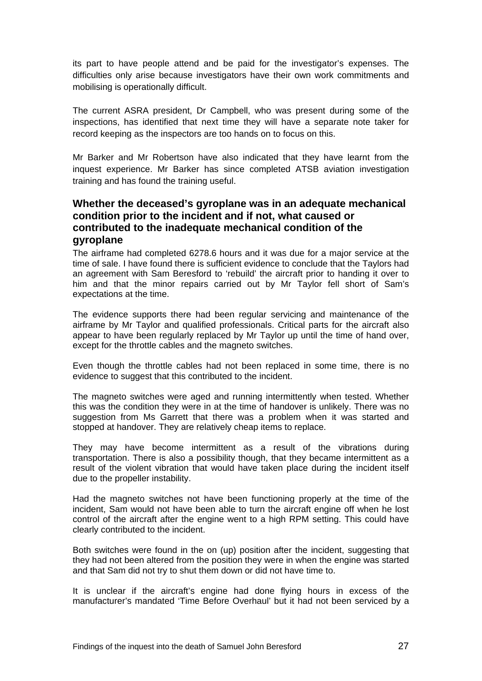its part to have people attend and be paid for the investigator's expenses. The difficulties only arise because investigators have their own work commitments and mobilising is operationally difficult.

The current ASRA president, Dr Campbell, who was present during some of the inspections, has identified that next time they will have a separate note taker for record keeping as the inspectors are too hands on to focus on this.

Mr Barker and Mr Robertson have also indicated that they have learnt from the inquest experience. Mr Barker has since completed ATSB aviation investigation training and has found the training useful.

## <span id="page-28-0"></span>**Whether the deceased's gyroplane was in an adequate mechanical condition prior to the incident and if not, what caused or contributed to the inadequate mechanical condition of the gyroplane**

The airframe had completed 6278.6 hours and it was due for a major service at the time of sale. I have found there is sufficient evidence to conclude that the Taylors had an agreement with Sam Beresford to 'rebuild' the aircraft prior to handing it over to him and that the minor repairs carried out by Mr Taylor fell short of Sam's expectations at the time.

The evidence supports there had been regular servicing and maintenance of the airframe by Mr Taylor and qualified professionals. Critical parts for the aircraft also appear to have been regularly replaced by Mr Taylor up until the time of hand over, except for the throttle cables and the magneto switches.

Even though the throttle cables had not been replaced in some time, there is no evidence to suggest that this contributed to the incident.

The magneto switches were aged and running intermittently when tested. Whether this was the condition they were in at the time of handover is unlikely. There was no suggestion from Ms Garrett that there was a problem when it was started and stopped at handover. They are relatively cheap items to replace.

They may have become intermittent as a result of the vibrations during transportation. There is also a possibility though, that they became intermittent as a result of the violent vibration that would have taken place during the incident itself due to the propeller instability.

Had the magneto switches not have been functioning properly at the time of the incident, Sam would not have been able to turn the aircraft engine off when he lost control of the aircraft after the engine went to a high RPM setting. This could have clearly contributed to the incident.

Both switches were found in the on (up) position after the incident, suggesting that they had not been altered from the position they were in when the engine was started and that Sam did not try to shut them down or did not have time to.

It is unclear if the aircraft's engine had done flying hours in excess of the manufacturer's mandated 'Time Before Overhaul' but it had not been serviced by a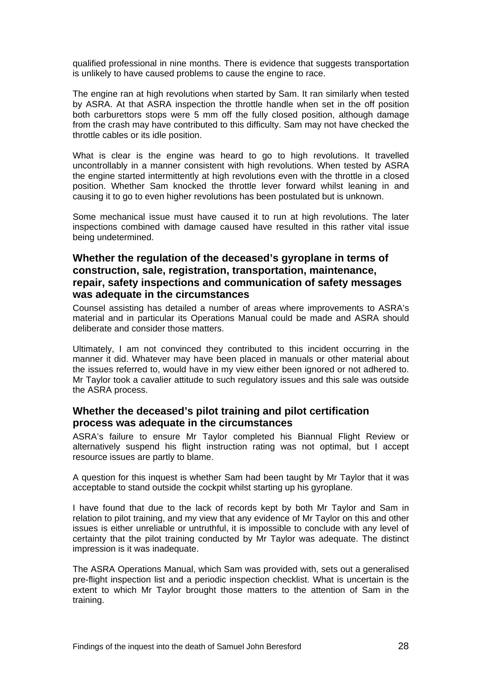qualified professional in nine months. There is evidence that suggests transportation is unlikely to have caused problems to cause the engine to race.

The engine ran at high revolutions when started by Sam. It ran similarly when tested by ASRA. At that ASRA inspection the throttle handle when set in the off position both carburettors stops were 5 mm off the fully closed position, although damage from the crash may have contributed to this difficulty. Sam may not have checked the throttle cables or its idle position.

What is clear is the engine was heard to go to high revolutions. It travelled uncontrollably in a manner consistent with high revolutions. When tested by ASRA the engine started intermittently at high revolutions even with the throttle in a closed position. Whether Sam knocked the throttle lever forward whilst leaning in and causing it to go to even higher revolutions has been postulated but is unknown.

Some mechanical issue must have caused it to run at high revolutions. The later inspections combined with damage caused have resulted in this rather vital issue being undetermined.

## <span id="page-29-0"></span>**Whether the regulation of the deceased's gyroplane in terms of construction, sale, registration, transportation, maintenance, repair, safety inspections and communication of safety messages was adequate in the circumstances**

Counsel assisting has detailed a number of areas where improvements to ASRA's material and in particular its Operations Manual could be made and ASRA should deliberate and consider those matters.

Ultimately, I am not convinced they contributed to this incident occurring in the manner it did. Whatever may have been placed in manuals or other material about the issues referred to, would have in my view either been ignored or not adhered to. Mr Taylor took a cavalier attitude to such regulatory issues and this sale was outside the ASRA process.

#### <span id="page-29-1"></span>**Whether the deceased's pilot training and pilot certification process was adequate in the circumstances**

ASRA's failure to ensure Mr Taylor completed his Biannual Flight Review or alternatively suspend his flight instruction rating was not optimal, but I accept resource issues are partly to blame.

A question for this inquest is whether Sam had been taught by Mr Taylor that it was acceptable to stand outside the cockpit whilst starting up his gyroplane.

I have found that due to the lack of records kept by both Mr Taylor and Sam in relation to pilot training, and my view that any evidence of Mr Taylor on this and other issues is either unreliable or untruthful, it is impossible to conclude with any level of certainty that the pilot training conducted by Mr Taylor was adequate. The distinct impression is it was inadequate.

The ASRA Operations Manual, which Sam was provided with, sets out a generalised pre-flight inspection list and a periodic inspection checklist. What is uncertain is the extent to which Mr Taylor brought those matters to the attention of Sam in the training.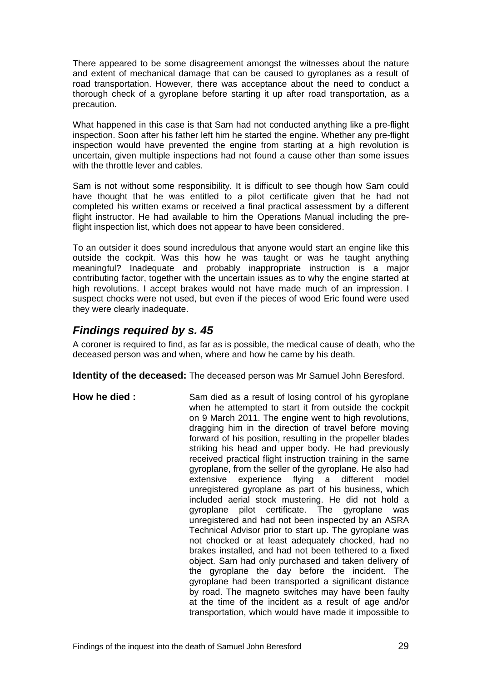There appeared to be some disagreement amongst the witnesses about the nature and extent of mechanical damage that can be caused to gyroplanes as a result of road transportation. However, there was acceptance about the need to conduct a thorough check of a gyroplane before starting it up after road transportation, as a precaution.

What happened in this case is that Sam had not conducted anything like a pre-flight inspection. Soon after his father left him he started the engine. Whether any pre-flight inspection would have prevented the engine from starting at a high revolution is uncertain, given multiple inspections had not found a cause other than some issues with the throttle lever and cables

Sam is not without some responsibility. It is difficult to see though how Sam could have thought that he was entitled to a pilot certificate given that he had not completed his written exams or received a final practical assessment by a different flight instructor. He had available to him the Operations Manual including the preflight inspection list, which does not appear to have been considered.

To an outsider it does sound incredulous that anyone would start an engine like this outside the cockpit. Was this how he was taught or was he taught anything meaningful? Inadequate and probably inappropriate instruction is a major contributing factor, together with the uncertain issues as to why the engine started at high revolutions. I accept brakes would not have made much of an impression. I suspect chocks were not used, but even if the pieces of wood Eric found were used they were clearly inadequate.

# <span id="page-30-0"></span>*Findings required by s. 45*

A coroner is required to find, as far as is possible, the medical cause of death, who the deceased person was and when, where and how he came by his death.

**Identity of the deceased:** The deceased person was Mr Samuel John Beresford.

**How he died :** Sam died as a result of losing control of his gyroplane when he attempted to start it from outside the cockpit on 9 March 2011. The engine went to high revolutions, dragging him in the direction of travel before moving forward of his position, resulting in the propeller blades striking his head and upper body. He had previously received practical flight instruction training in the same gyroplane, from the seller of the gyroplane. He also had extensive experience flying a different model unregistered gyroplane as part of his business, which included aerial stock mustering. He did not hold a gyroplane pilot certificate. The gyroplane was unregistered and had not been inspected by an ASRA Technical Advisor prior to start up. The gyroplane was not chocked or at least adequately chocked, had no brakes installed, and had not been tethered to a fixed object. Sam had only purchased and taken delivery of the gyroplane the day before the incident. The gyroplane had been transported a significant distance by road. The magneto switches may have been faulty at the time of the incident as a result of age and/or transportation, which would have made it impossible to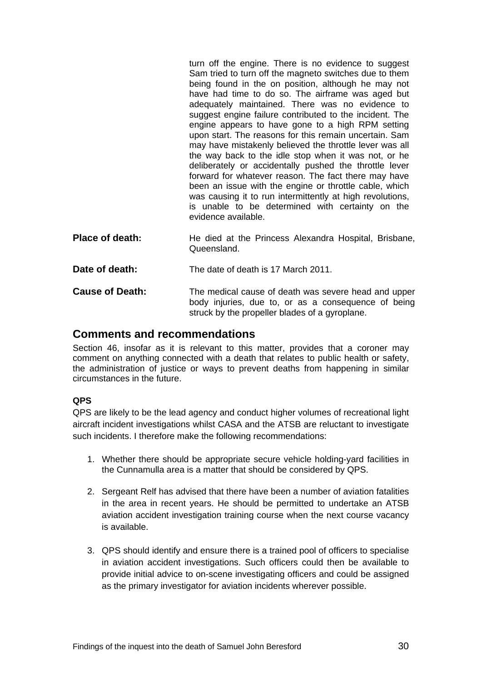turn off the engine. There is no evidence to suggest Sam tried to turn off the magneto switches due to them being found in the on position, although he may not have had time to do so. The airframe was aged but adequately maintained. There was no evidence to suggest engine failure contributed to the incident. The engine appears to have gone to a high RPM setting upon start. The reasons for this remain uncertain. Sam may have mistakenly believed the throttle lever was all the way back to the idle stop when it was not, or he deliberately or accidentally pushed the throttle lever forward for whatever reason. The fact there may have been an issue with the engine or throttle cable, which was causing it to run intermittently at high revolutions, is unable to be determined with certainty on the evidence available.

**Place of death:** He died at the Princess Alexandra Hospital, Brisbane, Queensland.

**Date of death:** The date of death is 17 March 2011. **Cause of Death:** The medical cause of death was severe head and upper body injuries, due to, or as a consequence of being struck by the propeller blades of a gyroplane.

# <span id="page-31-0"></span>**Comments and recommendations**

Section 46, insofar as it is relevant to this matter, provides that a coroner may comment on anything connected with a death that relates to public health or safety, the administration of justice or ways to prevent deaths from happening in similar circumstances in the future.

#### **QPS**

QPS are likely to be the lead agency and conduct higher volumes of recreational light aircraft incident investigations whilst CASA and the ATSB are reluctant to investigate such incidents. I therefore make the following recommendations:

- 1. Whether there should be appropriate secure vehicle holding-yard facilities in the Cunnamulla area is a matter that should be considered by QPS.
- 2. Sergeant Relf has advised that there have been a number of aviation fatalities in the area in recent years. He should be permitted to undertake an ATSB aviation accident investigation training course when the next course vacancy is available.
- 3. QPS should identify and ensure there is a trained pool of officers to specialise in aviation accident investigations. Such officers could then be available to provide initial advice to on-scene investigating officers and could be assigned as the primary investigator for aviation incidents wherever possible.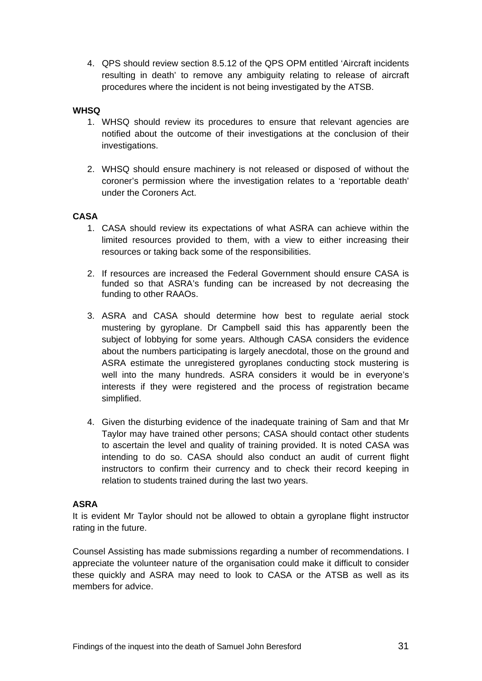4. QPS should review section 8.5.12 of the QPS OPM entitled 'Aircraft incidents resulting in death' to remove any ambiguity relating to release of aircraft procedures where the incident is not being investigated by the ATSB.

#### **WHSQ**

- 1. WHSQ should review its procedures to ensure that relevant agencies are notified about the outcome of their investigations at the conclusion of their investigations.
- 2. WHSQ should ensure machinery is not released or disposed of without the coroner's permission where the investigation relates to a 'reportable death' under the Coroners Act.

#### **CASA**

- 1. CASA should review its expectations of what ASRA can achieve within the limited resources provided to them, with a view to either increasing their resources or taking back some of the responsibilities.
- 2. If resources are increased the Federal Government should ensure CASA is funded so that ASRA's funding can be increased by not decreasing the funding to other RAAOs.
- 3. ASRA and CASA should determine how best to regulate aerial stock mustering by gyroplane. Dr Campbell said this has apparently been the subject of lobbying for some years. Although CASA considers the evidence about the numbers participating is largely anecdotal, those on the ground and ASRA estimate the unregistered gyroplanes conducting stock mustering is well into the many hundreds. ASRA considers it would be in everyone's interests if they were registered and the process of registration became simplified.
- 4. Given the disturbing evidence of the inadequate training of Sam and that Mr Taylor may have trained other persons; CASA should contact other students to ascertain the level and quality of training provided. It is noted CASA was intending to do so. CASA should also conduct an audit of current flight instructors to confirm their currency and to check their record keeping in relation to students trained during the last two years.

#### **ASRA**

It is evident Mr Taylor should not be allowed to obtain a gyroplane flight instructor rating in the future.

Counsel Assisting has made submissions regarding a number of recommendations. I appreciate the volunteer nature of the organisation could make it difficult to consider these quickly and ASRA may need to look to CASA or the ATSB as well as its members for advice.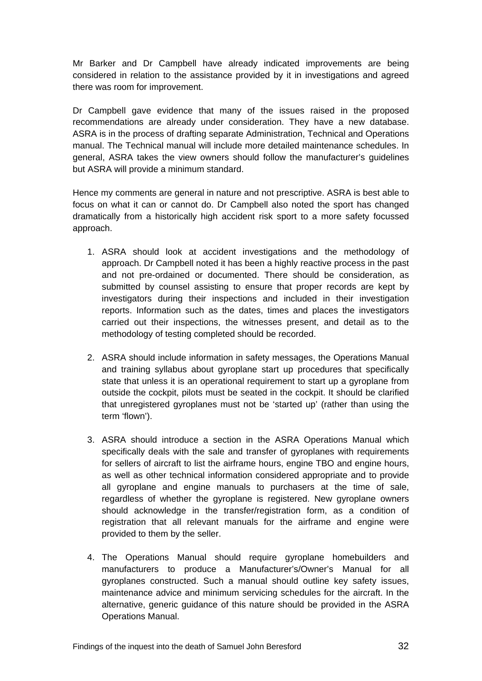Mr Barker and Dr Campbell have already indicated improvements are being considered in relation to the assistance provided by it in investigations and agreed there was room for improvement.

Dr Campbell gave evidence that many of the issues raised in the proposed recommendations are already under consideration. They have a new database. ASRA is in the process of drafting separate Administration, Technical and Operations manual. The Technical manual will include more detailed maintenance schedules. In general, ASRA takes the view owners should follow the manufacturer's guidelines but ASRA will provide a minimum standard.

Hence my comments are general in nature and not prescriptive. ASRA is best able to focus on what it can or cannot do. Dr Campbell also noted the sport has changed dramatically from a historically high accident risk sport to a more safety focussed approach.

- 1. ASRA should look at accident investigations and the methodology of approach. Dr Campbell noted it has been a highly reactive process in the past and not pre-ordained or documented. There should be consideration, as submitted by counsel assisting to ensure that proper records are kept by investigators during their inspections and included in their investigation reports. Information such as the dates, times and places the investigators carried out their inspections, the witnesses present, and detail as to the methodology of testing completed should be recorded.
- 2. ASRA should include information in safety messages, the Operations Manual and training syllabus about gyroplane start up procedures that specifically state that unless it is an operational requirement to start up a gyroplane from outside the cockpit, pilots must be seated in the cockpit. It should be clarified that unregistered gyroplanes must not be 'started up' (rather than using the term 'flown').
- 3. ASRA should introduce a section in the ASRA Operations Manual which specifically deals with the sale and transfer of gyroplanes with requirements for sellers of aircraft to list the airframe hours, engine TBO and engine hours, as well as other technical information considered appropriate and to provide all gyroplane and engine manuals to purchasers at the time of sale, regardless of whether the gyroplane is registered. New gyroplane owners should acknowledge in the transfer/registration form, as a condition of registration that all relevant manuals for the airframe and engine were provided to them by the seller.
- 4. The Operations Manual should require gyroplane homebuilders and manufacturers to produce a Manufacturer's/Owner's Manual for all gyroplanes constructed. Such a manual should outline key safety issues, maintenance advice and minimum servicing schedules for the aircraft. In the alternative, generic guidance of this nature should be provided in the ASRA Operations Manual.